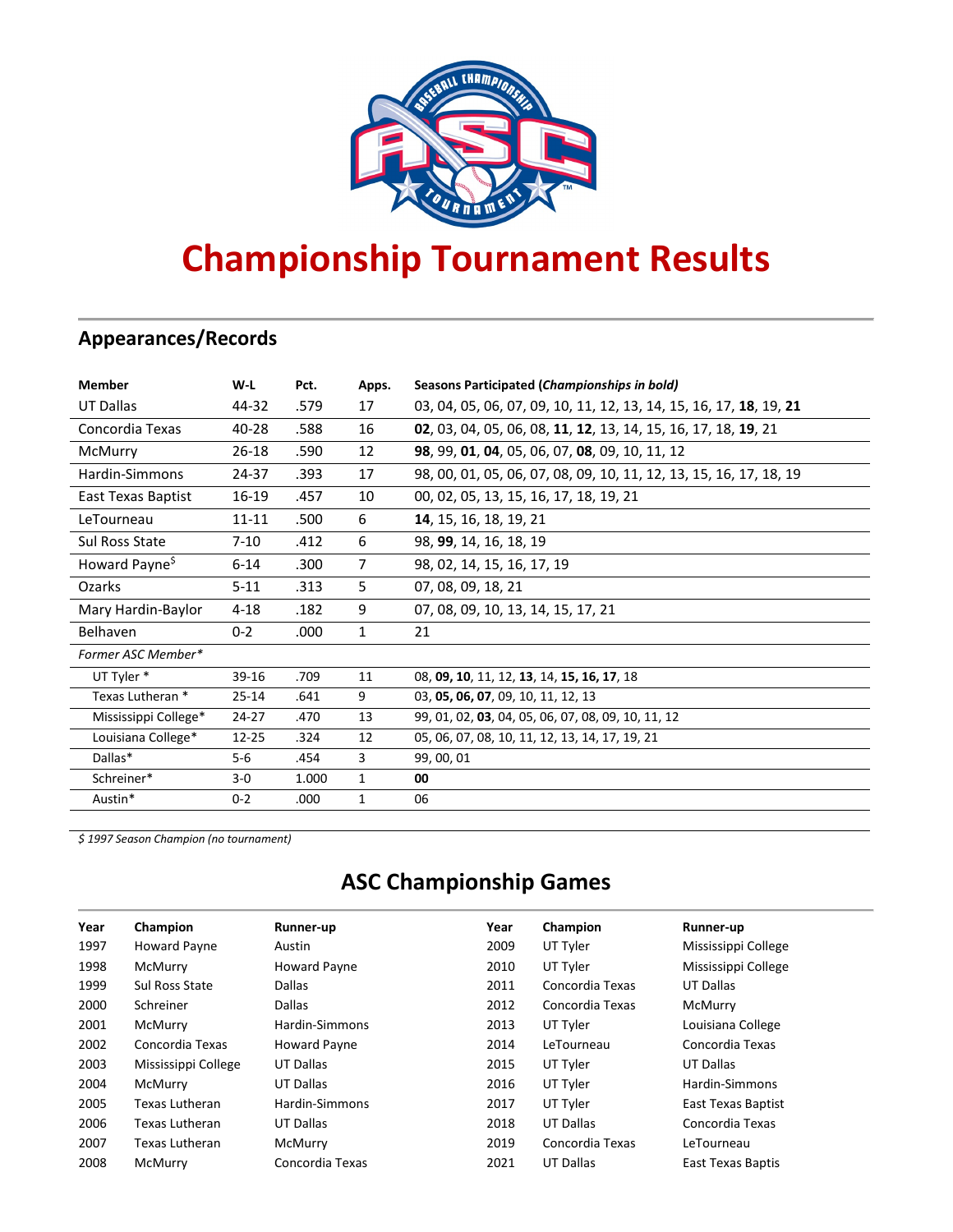

# **Championship Tournament Results**

## **Appearances/Records**

| <b>Member</b>              | W-L       | Pct.  | Apps.          | Seasons Participated (Championships in bold)                       |
|----------------------------|-----------|-------|----------------|--------------------------------------------------------------------|
| UT Dallas                  | 44-32     | .579  | 17             | 03, 04, 05, 06, 07, 09, 10, 11, 12, 13, 14, 15, 16, 17, 18, 19, 21 |
| Concordia Texas            | 40-28     | .588  | 16             | 02, 03, 04, 05, 06, 08, 11, 12, 13, 14, 15, 16, 17, 18, 19, 21     |
| McMurry                    | 26-18     | .590  | 12             | 98, 99, 01, 04, 05, 06, 07, 08, 09, 10, 11, 12                     |
| Hardin-Simmons             | 24-37     | .393  | 17             | 98, 00, 01, 05, 06, 07, 08, 09, 10, 11, 12, 13, 15, 16, 17, 18, 19 |
| East Texas Baptist         | $16 - 19$ | .457  | 10             | 00, 02, 05, 13, 15, 16, 17, 18, 19, 21                             |
| LeTourneau                 | $11 - 11$ | .500  | 6              | 14, 15, 16, 18, 19, 21                                             |
| Sul Ross State             | $7 - 10$  | .412  | 6              | 98, 99, 14, 16, 18, 19                                             |
| Howard Payne <sup>\$</sup> | $6 - 14$  | .300  | $\overline{7}$ | 98, 02, 14, 15, 16, 17, 19                                         |
| <b>Ozarks</b>              | $5 - 11$  | .313  | 5              | 07, 08, 09, 18, 21                                                 |
| Mary Hardin-Baylor         | $4 - 18$  | .182  | 9              | 07, 08, 09, 10, 13, 14, 15, 17, 21                                 |
| Belhaven                   | $0 - 2$   | .000  | $\mathbf{1}$   | 21                                                                 |
| Former ASC Member*         |           |       |                |                                                                    |
| UT Tyler *                 | 39-16     | .709  | 11             | 08, 09, 10, 11, 12, 13, 14, 15, 16, 17, 18                         |
| Texas Lutheran *           | $25 - 14$ | .641  | 9              | 03, 05, 06, 07, 09, 10, 11, 12, 13                                 |
| Mississippi College*       | $24 - 27$ | .470  | 13             | 99, 01, 02, 03, 04, 05, 06, 07, 08, 09, 10, 11, 12                 |
| Louisiana College*         | $12 - 25$ | .324  | 12             | 05, 06, 07, 08, 10, 11, 12, 13, 14, 17, 19, 21                     |
| Dallas*                    | $5-6$     | .454  | 3              | 99, 00, 01                                                         |
| Schreiner*                 | $3-0$     | 1.000 | $\mathbf{1}$   | 00                                                                 |
| Austin*                    | $0 - 2$   | .000  | $\mathbf{1}$   | 06                                                                 |

*\$ 1997 Season Champion (no tournament)*

## **ASC Championship Games**

| Year | Champion              | Runner-up           | Year | Champion        | Runner-up           |
|------|-----------------------|---------------------|------|-----------------|---------------------|
| 1997 | <b>Howard Payne</b>   | Austin              | 2009 | UT Tyler        | Mississippi College |
| 1998 | McMurry               | <b>Howard Payne</b> | 2010 | UT Tyler        | Mississippi College |
| 1999 | <b>Sul Ross State</b> | Dallas              | 2011 | Concordia Texas | <b>UT Dallas</b>    |
| 2000 | Schreiner             | <b>Dallas</b>       | 2012 | Concordia Texas | McMurry             |
| 2001 | McMurry               | Hardin-Simmons      | 2013 | UT Tyler        | Louisiana College   |
| 2002 | Concordia Texas       | <b>Howard Payne</b> | 2014 | LeTourneau      | Concordia Texas     |
| 2003 | Mississippi College   | UT Dallas           | 2015 | UT Tyler        | UT Dallas           |
| 2004 | McMurry               | UT Dallas           | 2016 | UT Tyler        | Hardin-Simmons      |
| 2005 | Texas Lutheran        | Hardin-Simmons      | 2017 | UT Tyler        | East Texas Baptist  |
| 2006 | Texas Lutheran        | UT Dallas           | 2018 | UT Dallas       | Concordia Texas     |
| 2007 | Texas Lutheran        | McMurry             | 2019 | Concordia Texas | LeTourneau          |
| 2008 | McMurry               | Concordia Texas     | 2021 | UT Dallas       | East Texas Baptis   |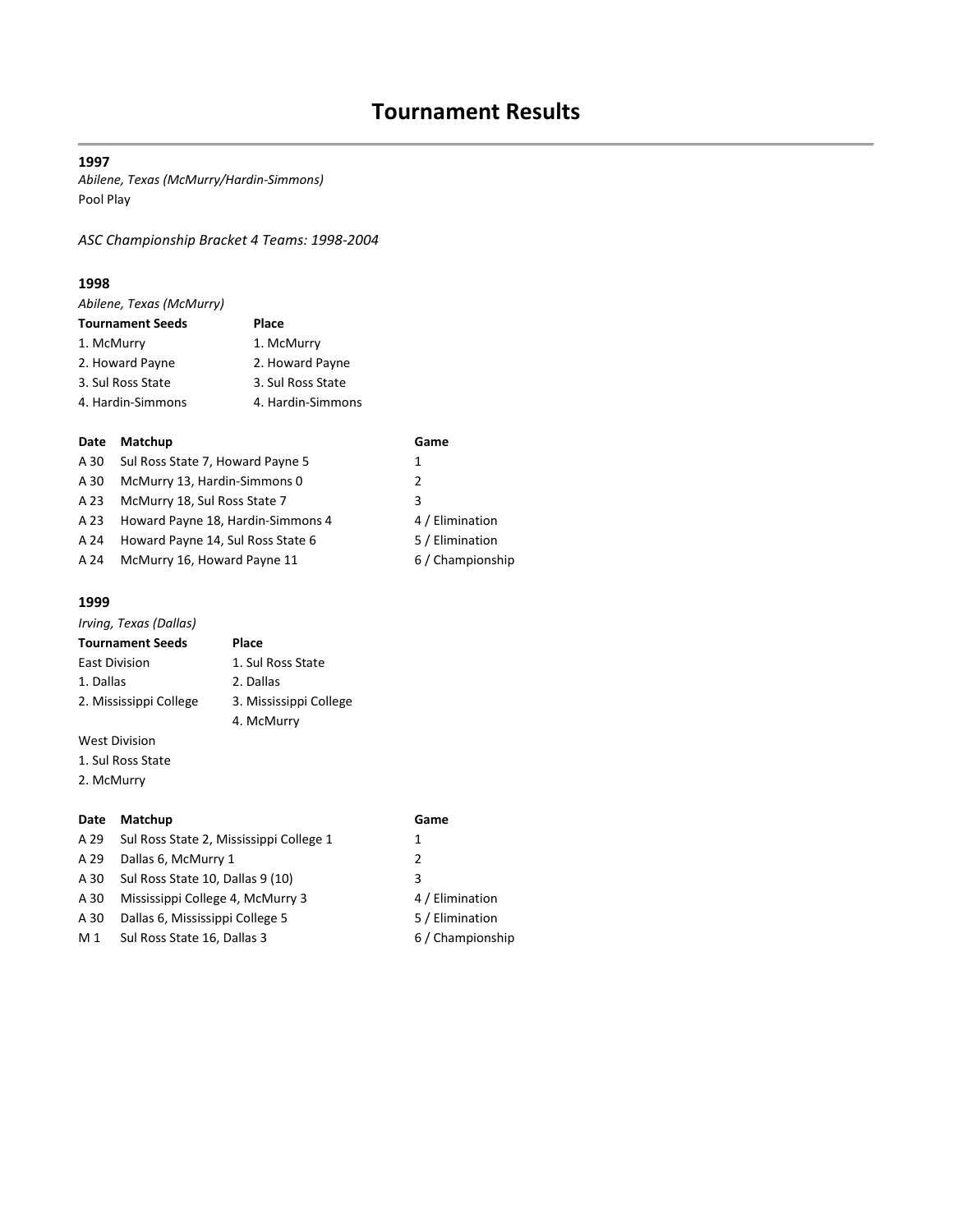*Abilene, Texas (McMurry/Hardin-Simmons)* Pool Play

*ASC Championship Bracket 4 Teams: 1998-2004*

#### **1998**

| Abilene, Texas (McMurry) |                   |
|--------------------------|-------------------|
| <b>Tournament Seeds</b>  | Place             |
| 1. McMurry               | 1. McMurry        |
| 2. Howard Payne          | 2. Howard Payne   |
| 3. Sul Ross State        | 3. Sul Ross State |
| 4. Hardin-Simmons        | 4. Hardin-Simmons |
|                          |                   |

#### **Date Matchup Game**

| A 30 | Sul Ross State 7, Howard Payne 5  | 1                |
|------|-----------------------------------|------------------|
| A 30 | McMurry 13, Hardin-Simmons 0      | 2                |
| A 23 | McMurry 18, Sul Ross State 7      | 3                |
| A 23 | Howard Payne 18, Hardin-Simmons 4 | 4 / Elimination  |
| A 24 | Howard Payne 14, Sul Ross State 6 | 5 / Elimination  |
| A 24 | McMurry 16, Howard Payne 11       | 6 / Championship |

#### **1999**

| Irving, Texas (Dallas)  |                        |
|-------------------------|------------------------|
| <b>Tournament Seeds</b> | Place                  |
| <b>East Division</b>    | 1. Sul Ross State      |
| 1. Dallas               | 2. Dallas              |
| 2. Mississippi College  | 3. Mississippi College |
|                         | 4. McMurry             |
|                         |                        |

West Division

1. Sul Ross State

2. McMurry

## **Date Matchup Game**

4 / Elimination 5 / Elimination 6 / Championship

| A 29 | Sul Ross State 2, Mississippi College 1 | 1 |
|------|-----------------------------------------|---|
| A 29 | Dallas 6, McMurry 1                     | 2 |
| A 30 | Sul Ross State 10, Dallas 9 (10)        | 3 |
| A 30 | Mississippi College 4, McMurry 3        | 4 |
| A 30 | Dallas 6, Mississippi College 5         | 5 |
| M 1  | Sul Ross State 16, Dallas 3             | 6 |
|      |                                         |   |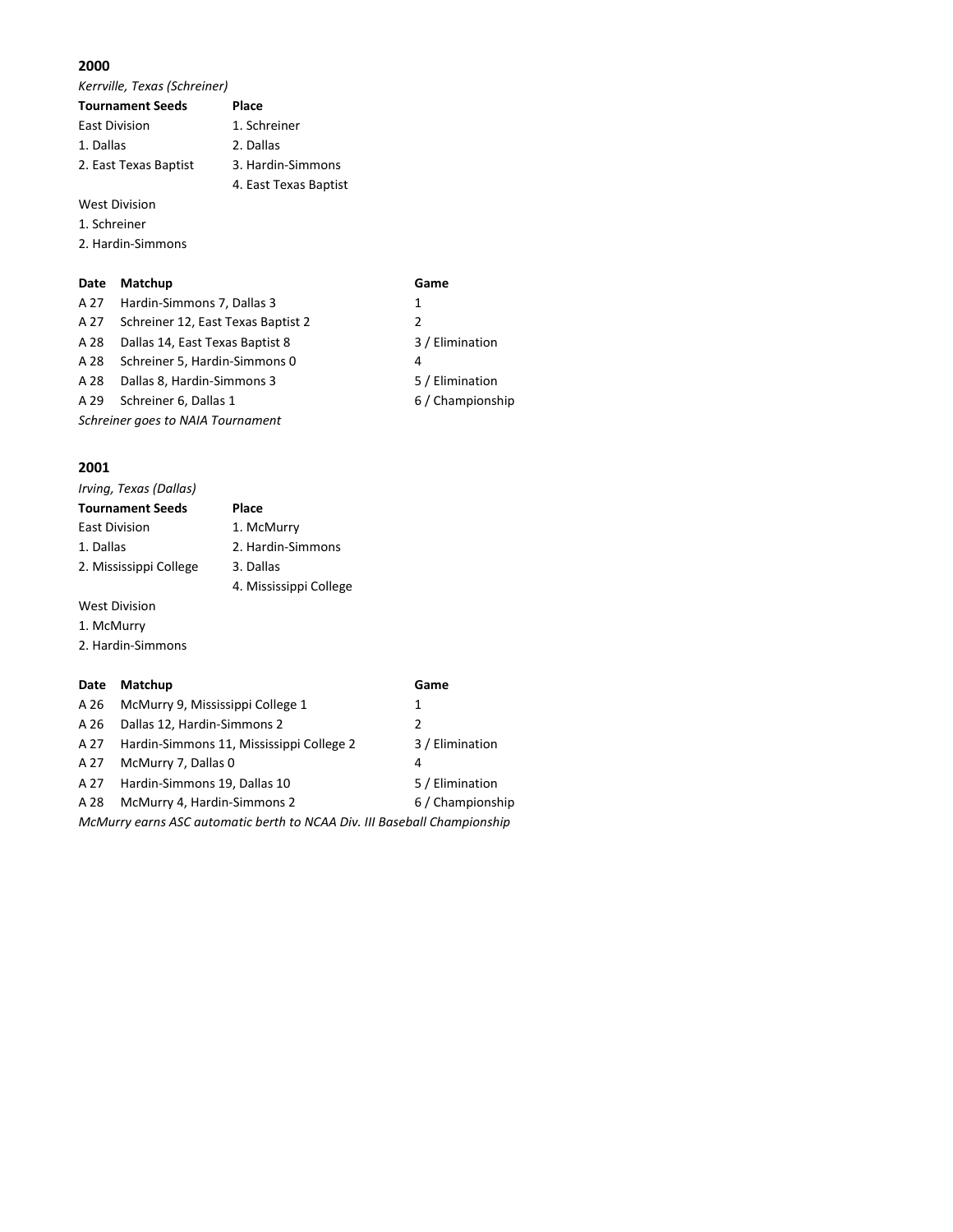*Kerrville, Texas (Schreiner)*

| <b>Tournament Seeds</b> | Place                 |
|-------------------------|-----------------------|
| <b>East Division</b>    | 1. Schreiner          |
| 1. Dallas               | 2. Dallas             |
| 2. East Texas Baptist   | 3. Hardin-Simmons     |
|                         | 4. East Texas Baptist |
| <b>West Division</b>    |                       |

1. Schreiner

2. Hardin-Simmons

#### **Date Matchup Game**

| A 27                              | Hardin-Simmons 7, Dallas 3         | 1                |
|-----------------------------------|------------------------------------|------------------|
| A 27                              | Schreiner 12, East Texas Baptist 2 | 2                |
| A 28                              | Dallas 14, East Texas Baptist 8    | 3 / Elimination  |
| A 28                              | Schreiner 5, Hardin-Simmons 0      | 4                |
| A 28                              | Dallas 8, Hardin-Simmons 3         | 5 / Elimination  |
| A 29                              | Schreiner 6, Dallas 1              | 6 / Championship |
| Schreiner goes to NAIA Tournament |                                    |                  |
|                                   |                                    |                  |

#### **2001**

| Irving, Texas (Dallas)             |                        |
|------------------------------------|------------------------|
| <b>Tournament Seeds</b>            | Place                  |
| <b>East Division</b>               | 1. McMurry             |
| 1. Dallas                          | 2. Hardin-Simmons      |
| 2. Mississippi College             | 3. Dallas              |
|                                    | 4. Mississippi College |
| $1.4.1 - 1.4.17$ . $1.4.1 - 1.4.1$ |                        |

West Division

- 1. McMurry
- 2. Hardin-Simmons

#### **Date Matchup Game**

| A 26                                                                     | McMurry 9, Mississippi College 1         | 1                |  |
|--------------------------------------------------------------------------|------------------------------------------|------------------|--|
| A 26                                                                     | Dallas 12, Hardin-Simmons 2              | $\mathcal{P}$    |  |
| A 27                                                                     | Hardin-Simmons 11, Mississippi College 2 | 3 / Elimination  |  |
| A 27                                                                     | McMurry 7, Dallas 0                      | 4                |  |
| A 27                                                                     | Hardin-Simmons 19, Dallas 10             | 5 / Elimination  |  |
| A 28                                                                     | McMurry 4, Hardin-Simmons 2              | 6 / Championship |  |
| McMurry earns ASC automatic berth to NCAA Div. III Baseball Championship |                                          |                  |  |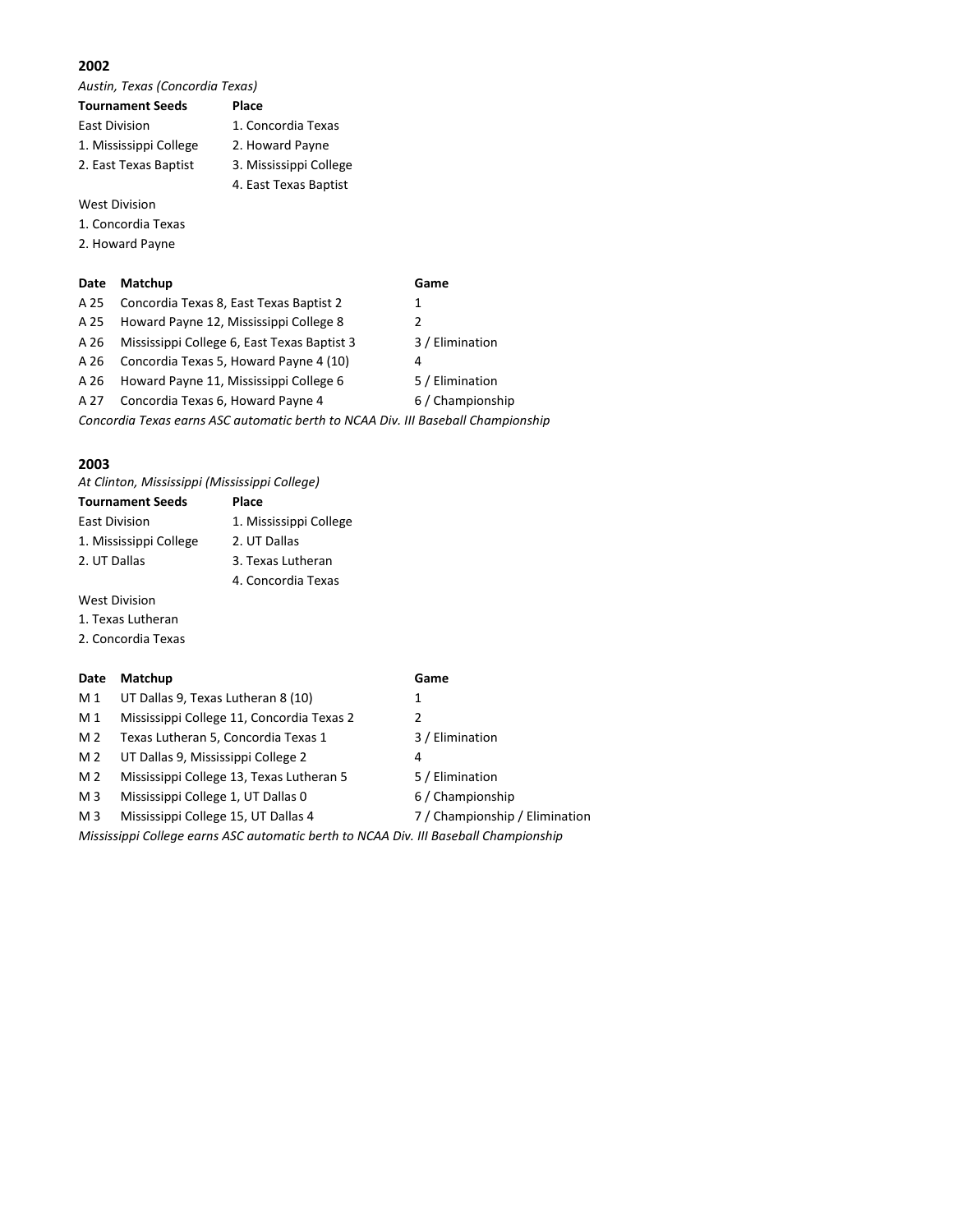*Austin, Texas (Concordia Texas)*

| <b>Tournament Seeds</b> | Place                  |
|-------------------------|------------------------|
| <b>East Division</b>    | 1. Concordia Texas     |
| 1. Mississippi College  | 2. Howard Payne        |
| 2. East Texas Baptist   | 3. Mississippi College |
|                         | 4. East Texas Baptist  |
|                         |                        |

West Division

- 1. Concordia Texas
- 2. Howard Payne

#### **Date Matchup Game**

| A 25                                                                             | Concordia Texas 8, East Texas Baptist 2     | 1                |
|----------------------------------------------------------------------------------|---------------------------------------------|------------------|
| A 25                                                                             | Howard Payne 12, Mississippi College 8      | 2                |
| A 26                                                                             | Mississippi College 6, East Texas Baptist 3 | 3 / Elimination  |
| A 26                                                                             | Concordia Texas 5, Howard Payne 4 (10)      | 4                |
| A 26                                                                             | Howard Payne 11, Mississippi College 6      | 5 / Elimination  |
| A 27                                                                             | Concordia Texas 6, Howard Payne 4           | 6 / Championship |
| Concordia Texas earns ASC automatic berth to NCAA Div. III Baseball Championship |                                             |                  |

#### **2003**

*At Clinton, Mississippi (Mississippi College)*

| <b>Tournament Seeds</b> | Place                  |
|-------------------------|------------------------|
| <b>East Division</b>    | 1. Mississippi College |
| 1. Mississippi College  | 2. UT Dallas           |
| 2. UT Dallas            | 3. Texas Lutheran      |
|                         | 4. Concordia Texas     |

West Division

- 1. Texas Lutheran
- 2. Concordia Texas

#### **Date Matchup Game**

- M 1 UT Dallas 9, Texas Lutheran 8 (10) 1
- M 1 Mississippi College 11, Concordia Texas 2 2
- M 2 Texas Lutheran 5, Concordia Texas 1 3 / Elimination
- M 2 UT Dallas 9, Mississippi College 2 4
- M 2 Mississippi College 13, Texas Lutheran 5 5 / Elimination
- M 3 Mississippi College 1, UT Dallas 0 6 / Championship
- M 3 Mississippi College 15, UT Dallas 4 7 / Championship / Elimination
- 
- 
- -
- 
- 
- *Mississippi College earns ASC automatic berth to NCAA Div. III Baseball Championship*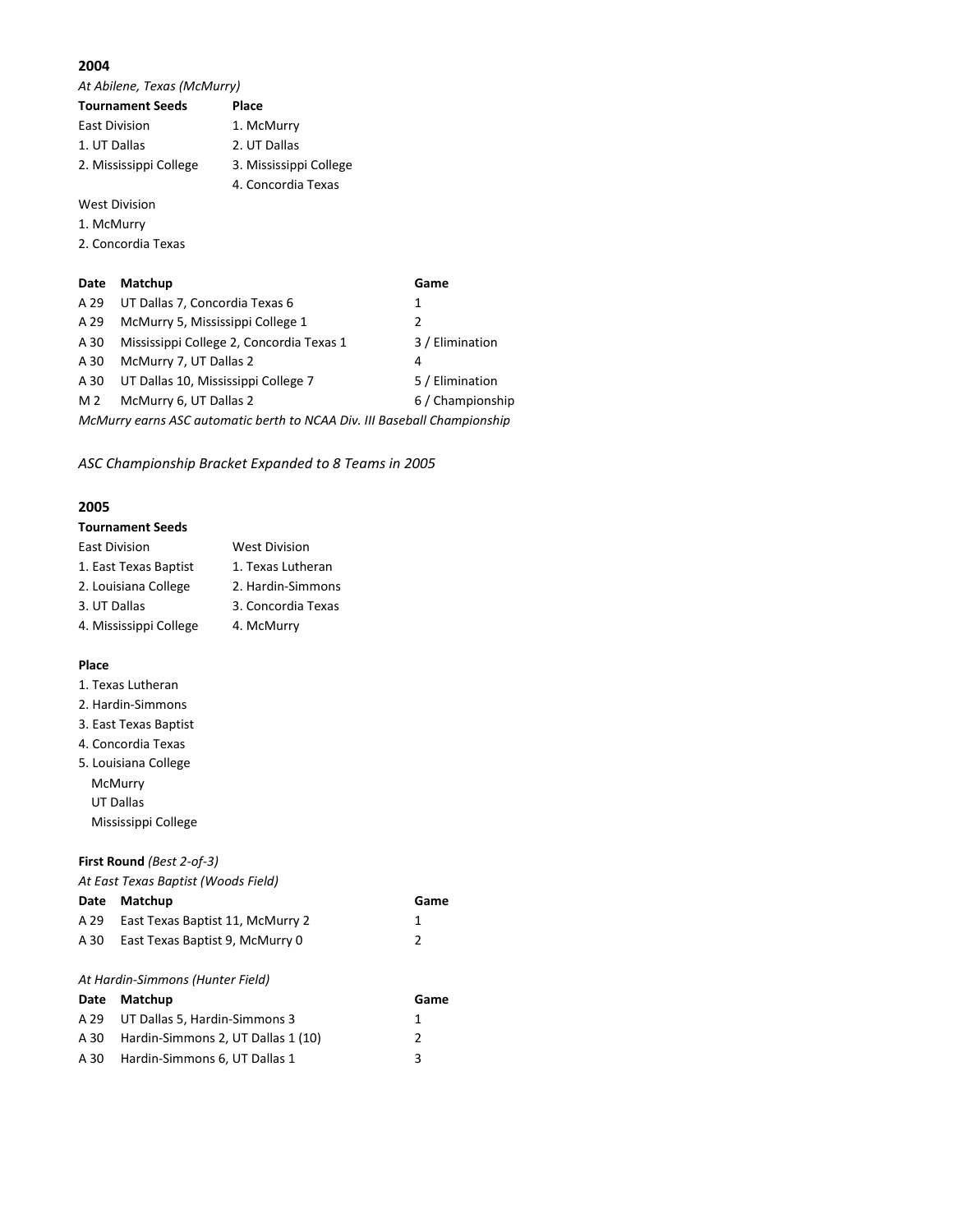*At Abilene, Texas (McMurry)*

|                      | <b>Tournament Seeds</b>                  | Place                  |                  |
|----------------------|------------------------------------------|------------------------|------------------|
| <b>East Division</b> |                                          | 1. McMurry             |                  |
| 1. UT Dallas         |                                          | 2. UT Dallas           |                  |
|                      | 2. Mississippi College                   | 3. Mississippi College |                  |
|                      |                                          | 4. Concordia Texas     |                  |
|                      | <b>West Division</b>                     |                        |                  |
| 1. McMurry           |                                          |                        |                  |
|                      | 2. Concordia Texas                       |                        |                  |
|                      |                                          |                        |                  |
| Date                 | Matchup                                  |                        | Game             |
| A 29                 | UT Dallas 7, Concordia Texas 6           |                        | 1                |
| A 29                 | McMurry 5, Mississippi College 1         |                        | 2                |
| A 30                 | Mississippi College 2, Concordia Texas 1 |                        | 3 / Elimination  |
| A 30                 | McMurry 7, UT Dallas 2                   |                        | 4                |
| A 30                 | UT Dallas 10, Mississippi College 7      |                        | 5 / Elimination  |
| M 2                  | McMurry 6, UT Dallas 2                   |                        | 6 / Championship |

*McMurry earns ASC automatic berth to NCAA Div. III Baseball Championship*

*ASC Championship Bracket Expanded to 8 Teams in 2005*

#### **2005**

| <b>Tournament Seeds</b> |  |  |  |
|-------------------------|--|--|--|
|-------------------------|--|--|--|

| <b>East Division</b>   | <b>West Division</b> |
|------------------------|----------------------|
| 1. East Texas Baptist  | 1. Texas Lutheran    |
| 2. Louisiana College   | 2. Hardin-Simmons    |
| 3. UT Dallas           | 3. Concordia Texas   |
| 4. Mississippi College | 4. McMurry           |

#### **Place**

- 1. Texas Lutheran
- 2. Hardin-Simmons
- 3. East Texas Baptist
- 4. Concordia Texas
- 5. Louisiana College McMurry UT Dallas Mississippi College

#### **First Round** *(Best 2-of-3)*

*At East Texas Baptist (Woods Field)*

| Date | Matchup                                                                                                                                                                                                                                                                                                                                                                                         | Game          |
|------|-------------------------------------------------------------------------------------------------------------------------------------------------------------------------------------------------------------------------------------------------------------------------------------------------------------------------------------------------------------------------------------------------|---------------|
| A 29 | East Texas Baptist 11, McMurry 2                                                                                                                                                                                                                                                                                                                                                                | 1             |
| A 30 | East Texas Baptist 9, McMurry 0                                                                                                                                                                                                                                                                                                                                                                 | $\mathcal{L}$ |
|      | At Hardin-Simmons (Hunter Field)                                                                                                                                                                                                                                                                                                                                                                |               |
| Date | Matchup                                                                                                                                                                                                                                                                                                                                                                                         | Game          |
|      | $\lambda$ , $\lambda$ $\lambda$ , $\lambda$ , $\lambda$ $\lambda$ , $\lambda$ , $\lambda$ , $\lambda$ , $\lambda$ , $\lambda$ , $\lambda$ , $\lambda$ , $\lambda$ , $\lambda$ , $\lambda$ , $\lambda$ , $\lambda$ , $\lambda$ , $\lambda$ , $\lambda$ , $\lambda$ , $\lambda$ , $\lambda$ , $\lambda$ , $\lambda$ , $\lambda$ , $\lambda$ , $\lambda$ , $\lambda$ , $\lambda$ , $\lambda$ , $\$ |               |

| A 29 UT Dallas 5. Hardin-Simmons 3      |  |
|-----------------------------------------|--|
| A 30 Hardin-Simmons 2. UT Dallas 1 (10) |  |
| A 30 Hardin-Simmons 6. UT Dallas 1      |  |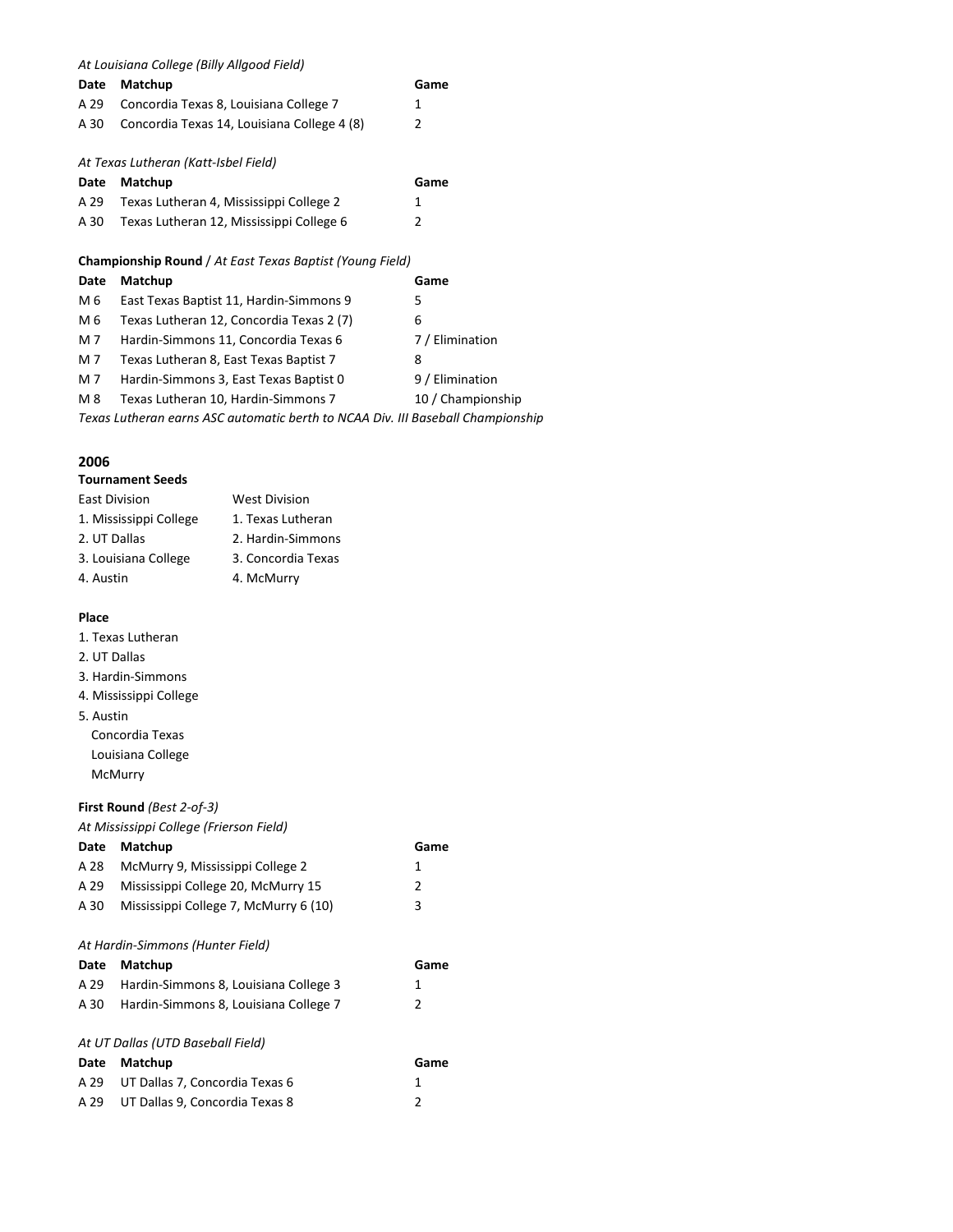*At Louisiana College [\(Billy Allgood Field\)](http://www.lcwildcats.net/Sports/baseball/2007/Allgood_Field.asp)*

| Date | Matchup                                                         | Game            |
|------|-----------------------------------------------------------------|-----------------|
| A 29 | Concordia Texas 8, Louisiana College 7                          | 1               |
| A 30 | Concordia Texas 14, Louisiana College 4 (8)                     | 2               |
|      | At Texas Lutheran (Katt-Isbel Field)                            |                 |
| Date | Matchup                                                         | Game            |
| A 29 | Texas Lutheran 4, Mississippi College 2                         | 1               |
| A 30 | Texas Lutheran 12, Mississippi College 6                        | 2               |
|      | <b>Championship Round</b> / At East Texas Baptist (Young Field) |                 |
| Date | Matchup                                                         | Game            |
| M 6  | East Texas Baptist 11, Hardin-Simmons 9                         | 5               |
| M 6  | Texas Lutheran 12, Concordia Texas 2 (7)                        | 6               |
| M 7  | Hardin-Simmons 11, Concordia Texas 6                            | 7 / Elimination |
| M 7  | Texas Lutheran 8, East Texas Baptist 7                          | 8               |

M 7 Hardin-Simmons 3, East Texas Baptist 0 9 / Elimination

M 8 Texas Lutheran 10, Hardin-Simmons 7 10 / Championship

*Texas Lutheran earns ASC automatic berth to NCAA Div. III Baseball Championship*

#### **2006**

#### **Tournament Seeds**

| <b>East Division</b>   | <b>West Division</b> |
|------------------------|----------------------|
| 1. Mississippi College | 1. Texas Lutheran    |
| 2. UT Dallas           | 2. Hardin-Simmons    |
| 3. Louisiana College   | 3. Concordia Texas   |
| 4. Austin              | 4. McMurry           |

#### **Place**

- 1. Texas Lutheran
- 2. UT Dallas
- 3. Hardin-Simmons
- 4. Mississippi College
- 5. Austin
	- Concordia Texas Louisiana College McMurry

#### **First Round** *(Best 2-of-3)*

*At Mississippi College (Frierson Field)*

| Date | Matchup                               | Game |
|------|---------------------------------------|------|
| A 28 | McMurry 9, Mississippi College 2      | 1    |
| A 29 | Mississippi College 20, McMurry 15    | 2    |
| A 30 | Mississippi College 7, McMurry 6 (10) | 3    |
|      | At Hardin-Simmons (Hunter Field)      |      |
| Date | Matchup                               | Game |
| A 29 | Hardin-Simmons 8, Louisiana College 3 | 1    |
| A 30 | Hardin-Simmons 8, Louisiana College 7 | 2    |
|      | At UT Dallas (UTD Baseball Field)     |      |
| Date | Matchup                               | Game |
| A 29 | UT Dallas 7, Concordia Texas 6        | 1    |
| A 29 | UT Dallas 9, Concordia Texas 8        | 2    |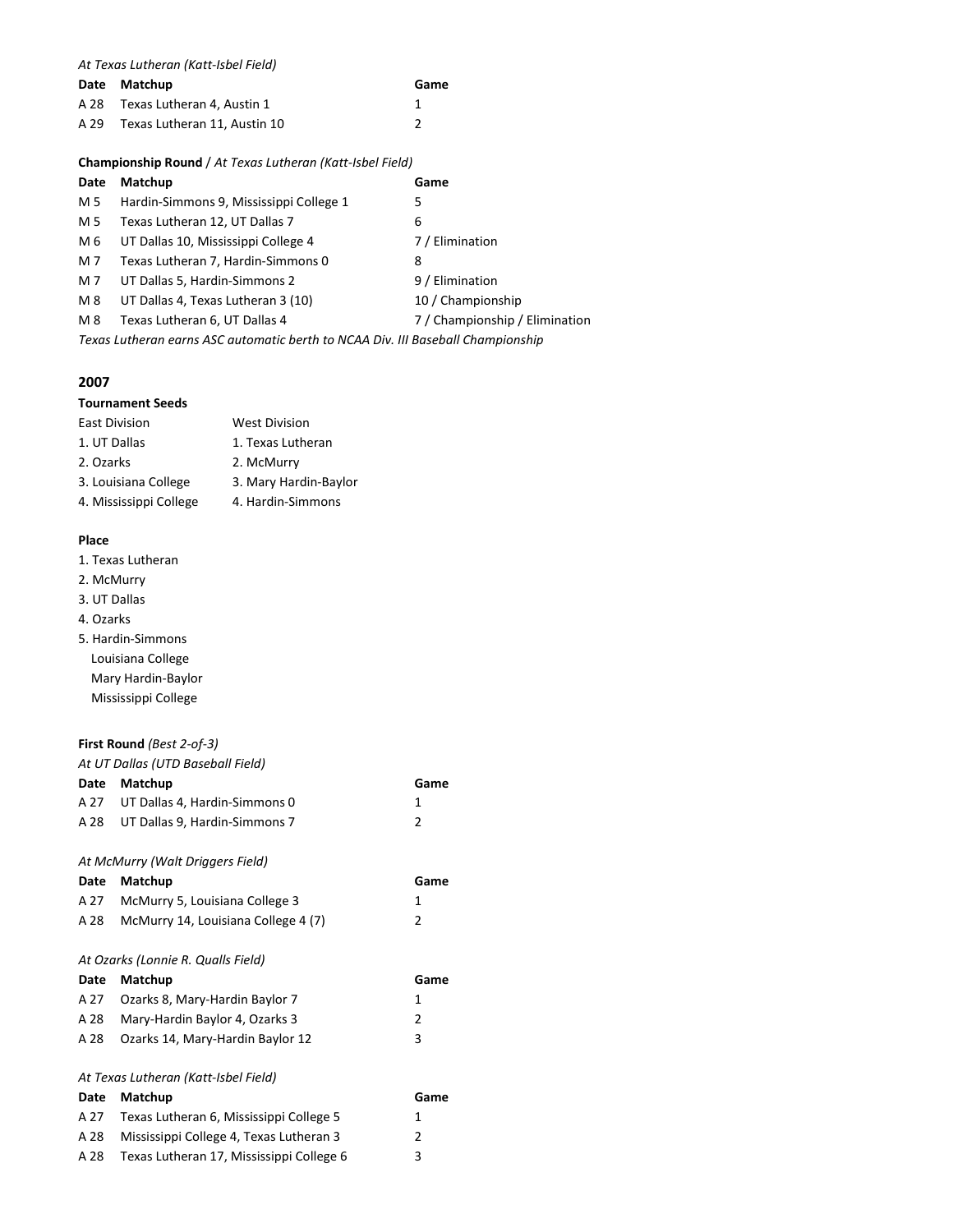| At Texas Lutheran (Katt-Isbel Field) |  |
|--------------------------------------|--|
|--------------------------------------|--|

|      | Date Matchup                    | Game |
|------|---------------------------------|------|
|      | A 28 Texas Lutheran 4, Austin 1 |      |
| A 29 | Texas Lutheran 11. Austin 10    |      |

#### **Championship Round** / *At Texas Lutheran (Katt-Isbel Field)*

| Date | Matchup                                                                         | Game                           |
|------|---------------------------------------------------------------------------------|--------------------------------|
| M 5  | Hardin-Simmons 9, Mississippi College 1                                         | 5                              |
| M 5  | Texas Lutheran 12, UT Dallas 7                                                  | 6                              |
| M 6  | UT Dallas 10, Mississippi College 4                                             | 7 / Elimination                |
| M 7  | Texas Lutheran 7, Hardin-Simmons 0                                              | 8                              |
| M 7  | UT Dallas 5, Hardin-Simmons 2                                                   | 9 / Elimination                |
| M 8  | UT Dallas 4, Texas Lutheran 3 (10)                                              | 10 / Championship              |
| M 8  | Texas Lutheran 6, UT Dallas 4                                                   | 7 / Championship / Elimination |
|      | Texas Lutheran earns ASC automatic berth to NCAA Div. III Baseball Championship |                                |

#### **2007**

#### **Tournament Seeds**

| <b>East Division</b>   | <b>West Division</b>  |
|------------------------|-----------------------|
| 1. UT Dallas           | 1. Texas Lutheran     |
| 2. Ozarks              | 2. McMurry            |
| 3. Louisiana College   | 3. Mary Hardin-Baylor |
| 4. Mississippi College | 4. Hardin-Simmons     |
|                        |                       |

#### **Place**

1. Texas Lutheran

- 2. McMurry
- 3. UT Dallas
- 4. Ozarks
- 5. Hardin-Simmons Louisiana College Mary Hardin-Baylor Mississippi College

#### **First Round** *(Best 2-of-3)*

#### *At UT Dallas (UTD Baseball Field)*

|      | At 01 Danas TOTD Bascban Heldt           |               |
|------|------------------------------------------|---------------|
| Date | Matchup                                  | Game          |
| A 27 | UT Dallas 4, Hardin-Simmons 0            | 1             |
| A 28 | UT Dallas 9, Hardin-Simmons 7            | 2             |
|      |                                          |               |
|      | At McMurry (Walt Driggers Field)         |               |
| Date | Matchup                                  | Game          |
| A 27 | McMurry 5, Louisiana College 3           | 1             |
| A 28 | McMurry 14, Louisiana College 4 (7)      | 2             |
|      | At Ozarks (Lonnie R. Qualls Field)       |               |
|      |                                          |               |
| Date | Matchup                                  | Game          |
| A 27 | Ozarks 8, Mary-Hardin Baylor 7           | 1             |
| A 28 | Mary-Hardin Baylor 4, Ozarks 3           | $\mathcal{P}$ |
| A 28 | Ozarks 14, Mary-Hardin Baylor 12         | 3             |
|      | At Texas Lutheran (Katt-Isbel Field)     |               |
| Date | Matchup                                  | Game          |
| A 27 | Texas Lutheran 6, Mississippi College 5  | 1             |
| A 28 | Mississippi College 4, Texas Lutheran 3  | 2             |
| A 28 | Texas Lutheran 17, Mississippi College 6 | 3             |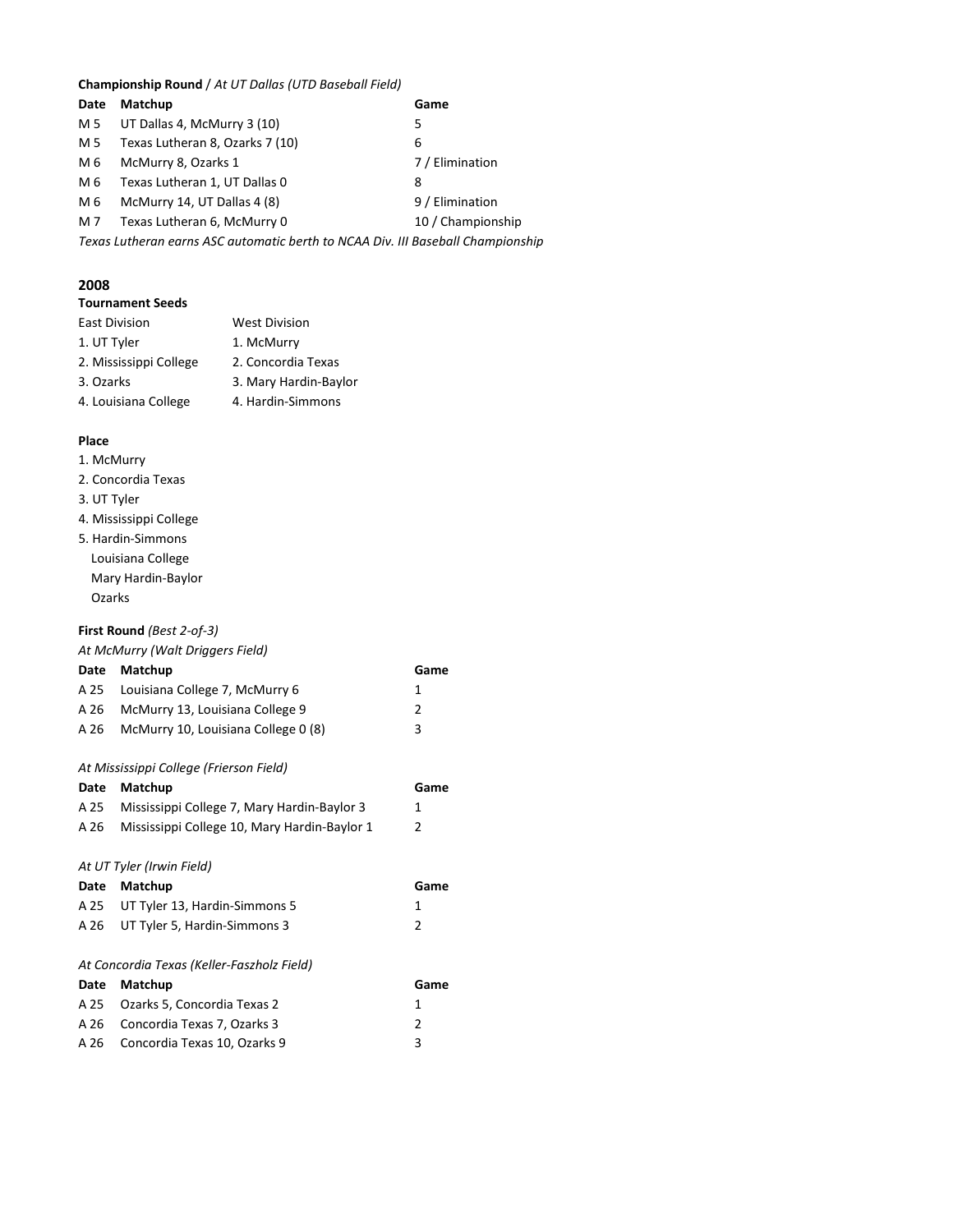#### **Championship Round** / *At UT Dallas (UTD Baseball Field)*

| Date | Matchup                                                                         | Game              |
|------|---------------------------------------------------------------------------------|-------------------|
| M 5  | UT Dallas 4, McMurry 3 (10)                                                     | 5                 |
| M 5  | Texas Lutheran 8, Ozarks 7 (10)                                                 | 6                 |
| M 6  | McMurry 8, Ozarks 1                                                             | 7 / Elimination   |
| M 6  | Texas Lutheran 1, UT Dallas 0                                                   | 8                 |
| M 6  | McMurry 14, UT Dallas 4 (8)                                                     | 9 / Elimination   |
| M 7  | Texas Lutheran 6, McMurry 0                                                     | 10 / Championship |
|      | Texas Lutheran earns ASC automatic berth to NCAA Div. III Baseball Championship |                   |

#### **2008**

#### **Tournament Seeds**

| <b>East Division</b>   | <b>West Division</b>  |
|------------------------|-----------------------|
| 1. UT Tyler            | 1. McMurry            |
| 2. Mississippi College | 2. Concordia Texas    |
| 3. Ozarks              | 3. Mary Hardin-Baylor |
| 4. Louisiana College   | 4. Hardin-Simmons     |

#### **Place**

- 1. McMurry
- 2. Concordia Texas
- 3. UT Tyler
- 4. Mississippi College
- 5. Hardin-Simmons Louisiana College Mary Hardin-Baylor Ozarks

#### **First Round** *(Best 2-of-3)*

#### *At McMurry (Walt Driggers Field)*

|      | Date Matchup                         | Game          |
|------|--------------------------------------|---------------|
|      | A 25 Louisiana College 7, McMurry 6  | 1             |
|      | A 26 McMurry 13, Louisiana College 9 | $\mathcal{P}$ |
| A 26 | McMurry 10, Louisiana College 0 (8)  | 3             |
|      |                                      |               |

#### *At Mississippi College (Frierson Field)*

| Date | Matchup                                      | Game          |
|------|----------------------------------------------|---------------|
| A 25 | Mississippi College 7, Mary Hardin-Baylor 3  | 1             |
| A 26 | Mississippi College 10, Mary Hardin-Baylor 1 | $\mathfrak z$ |
|      | At UT Tyler (Irwin Field)                    |               |
| Date | Matchup                                      | Game          |
| A 25 | UT Tyler 13, Hardin-Simmons 5                | 1             |
| A 26 | UT Tyler 5, Hardin-Simmons 3                 | 2             |
|      | At Concordia Texas (Keller-Faszholz Field)   |               |
| Date | Matchup                                      | Game          |
| A 25 | Ozarks 5, Concordia Texas 2                  | 1             |
| A 26 | Concordia Texas 7, Ozarks 3                  | 2             |
| A 26 | Concordia Texas 10, Ozarks 9                 | 3             |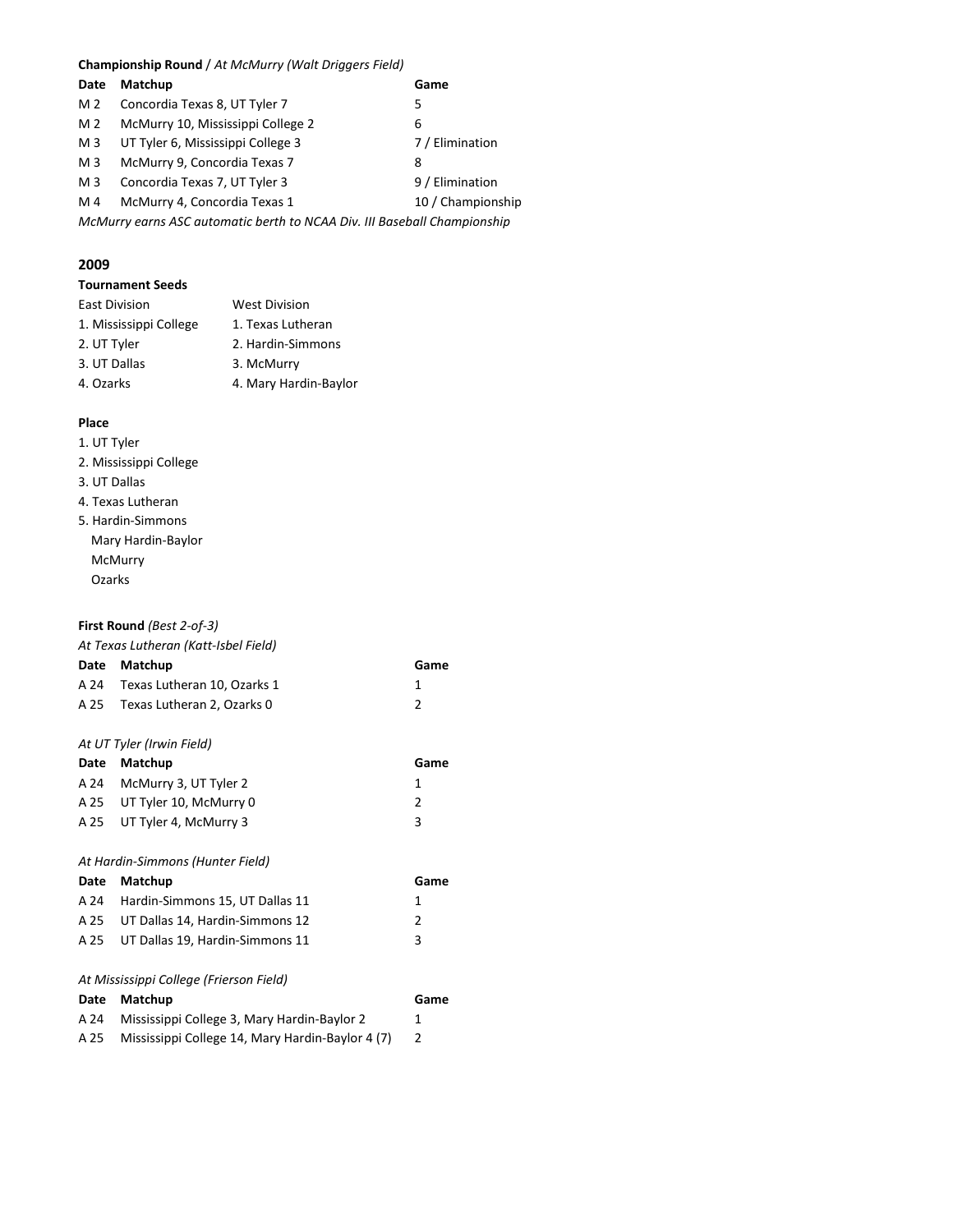#### **Championship Round** / *At McMurry (Walt Driggers Field)*

| Date                                                                     | Matchup                           | Game              |
|--------------------------------------------------------------------------|-----------------------------------|-------------------|
| M 2                                                                      | Concordia Texas 8, UT Tyler 7     | 5.                |
| M 2                                                                      | McMurry 10, Mississippi College 2 | 6                 |
| M <sub>3</sub>                                                           | UT Tyler 6, Mississippi College 3 | 7 / Elimination   |
| M <sub>3</sub>                                                           | McMurry 9, Concordia Texas 7      | 8                 |
| M <sub>3</sub>                                                           | Concordia Texas 7, UT Tyler 3     | 9 / Elimination   |
| M 4                                                                      | McMurry 4, Concordia Texas 1      | 10 / Championship |
| McMurry earns ASC automatic berth to NCAA Div. III Baseball Championship |                                   |                   |

#### **2009**

#### **Tournament Seeds**

| West Division         |
|-----------------------|
| 1. Texas Lutheran     |
| 2. Hardin-Simmons     |
| 3. McMurry            |
| 4. Mary Hardin-Baylor |
|                       |

#### **Place**

#### 1. UT Tyler

- 2. Mississippi College
- 3. UT Dallas
- 4. Texas Lutheran
- 5. Hardin-Simmons Mary Hardin-Baylor McMurry Ozarks

#### **First Round** *(Best 2-of-3)*

#### *At Texas Lutheran (Katt-Isbel Field)*

| Date | Matchup                                          | Game           |
|------|--------------------------------------------------|----------------|
| A 24 | Texas Lutheran 10, Ozarks 1                      | 1              |
| A 25 | Texas Lutheran 2, Ozarks 0                       | $\mathfrak{p}$ |
|      |                                                  |                |
|      | At UT Tyler (Irwin Field)                        |                |
| Date | Matchup                                          | Game           |
| A 24 | McMurry 3, UT Tyler 2                            | 1              |
| A 25 | UT Tyler 10, McMurry 0                           | 2              |
| A 25 | UT Tyler 4, McMurry 3                            | 3              |
|      |                                                  |                |
|      | At Hardin-Simmons (Hunter Field)                 |                |
| Date | Matchup                                          | Game           |
| A 24 | Hardin-Simmons 15, UT Dallas 11                  | 1              |
| A 25 | UT Dallas 14, Hardin-Simmons 12                  | $\mathcal{P}$  |
| A 25 | UT Dallas 19, Hardin-Simmons 11                  | 3              |
|      |                                                  |                |
|      | At Mississippi College (Frierson Field)          |                |
| Date | Matchup                                          | Game           |
| A 24 | Mississippi College 3, Mary Hardin-Baylor 2      | 1              |
| A 25 | Mississippi College 14, Mary Hardin-Baylor 4 (7) | 2              |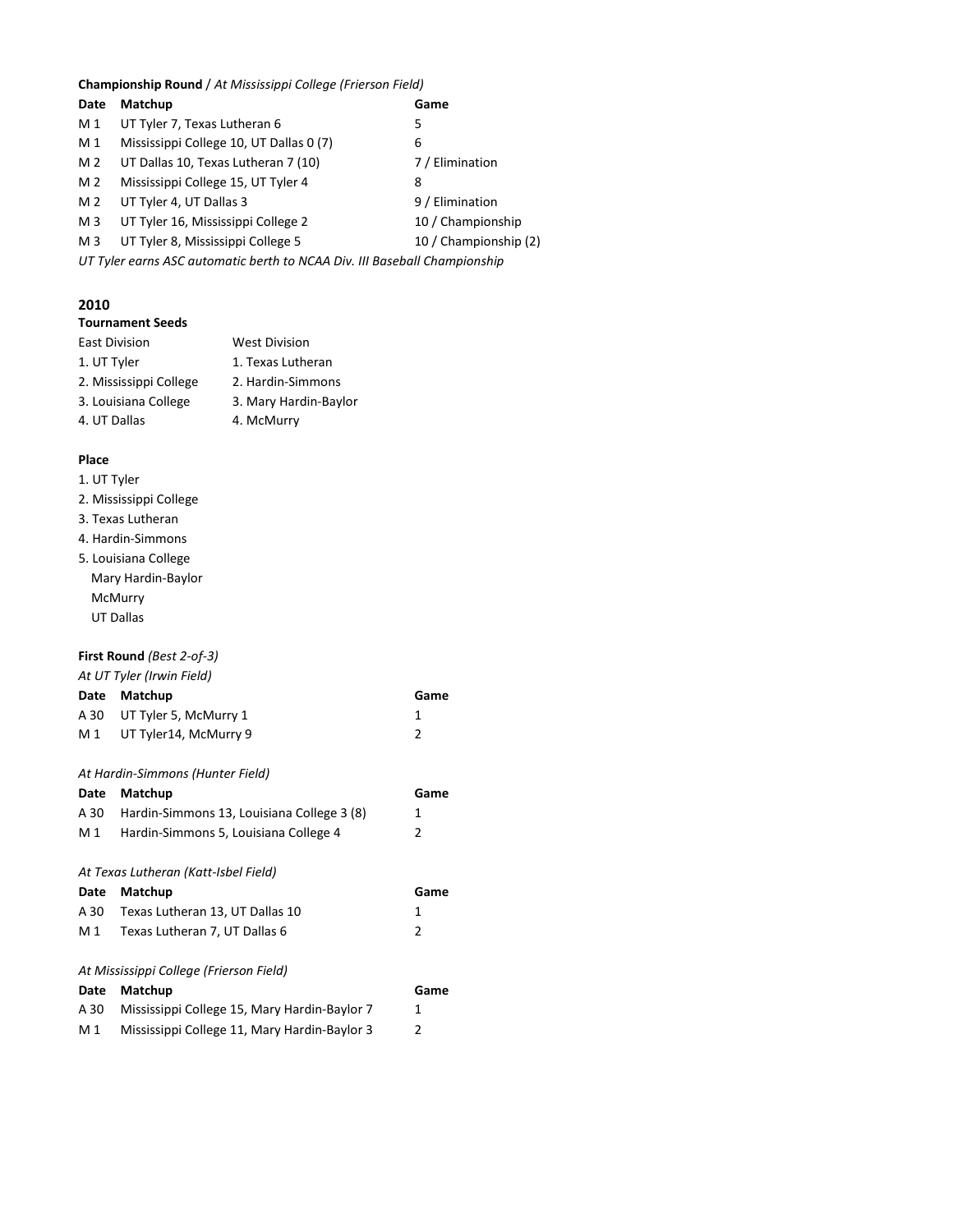#### **Championship Round** / *At Mississippi College (Frierson Field)*

| Date           | Matchup                                                                   | Game                  |
|----------------|---------------------------------------------------------------------------|-----------------------|
| M 1            | UT Tyler 7, Texas Lutheran 6                                              | 5                     |
| M 1            | Mississippi College 10, UT Dallas 0 (7)                                   | 6                     |
| M <sub>2</sub> | UT Dallas 10, Texas Lutheran 7 (10)                                       | 7 / Elimination       |
| M <sub>2</sub> | Mississippi College 15, UT Tyler 4                                        | 8                     |
| M <sub>2</sub> | UT Tyler 4, UT Dallas 3                                                   | 9 / Elimination       |
| M <sub>3</sub> | UT Tyler 16, Mississippi College 2                                        | 10 / Championship     |
| M <sub>3</sub> | UT Tyler 8, Mississippi College 5                                         | 10 / Championship (2) |
|                | UT Tyler earns ASC automatic berth to NCAA Div. III Baseball Championship |                       |

#### **2010**

| <b>Tournament Seeds</b> |  |
|-------------------------|--|
|                         |  |

| <b>East Division</b>   | <b>West Division</b>  |
|------------------------|-----------------------|
| 1. UT Tyler            | 1. Texas Lutheran     |
| 2. Mississippi College | 2. Hardin-Simmons     |
| 3. Louisiana College   | 3. Mary Hardin-Baylor |
| 4. UT Dallas           | 4. McMurry            |

#### **Place**

|  | 1. UT Tyler |  |
|--|-------------|--|
|  |             |  |

- 2. Mississippi College
- 3. Texas Lutheran
- 4. Hardin-Simmons
- 5. Louisiana College Mary Hardin-Baylor McMurry UT Dallas

#### **First Round** *(Best 2-of-3)*

*At UT Tyler (Irwin Field)*

| Date Matchup               | Game |
|----------------------------|------|
| A 30 UT Tyler 5, McMurry 1 |      |
| M 1 UT Tyler14, McMurry 9  |      |
|                            |      |

#### *At Hardin-Simmons (Hunter Field)*

| Date | Matchup                                      | Game |
|------|----------------------------------------------|------|
| A 30 | Hardin-Simmons 13, Louisiana College 3 (8)   | 1    |
| M 1  | Hardin-Simmons 5, Louisiana College 4        | 2    |
|      |                                              |      |
|      | At Texas Lutheran (Katt-Isbel Field)         |      |
| Date | Matchup                                      | Game |
| A 30 | Texas Lutheran 13, UT Dallas 10              | 1    |
| M 1  | Texas Lutheran 7, UT Dallas 6                | 2    |
|      |                                              |      |
|      | At Mississippi College (Frierson Field)      |      |
| Date | Matchup                                      | Game |
| A 30 | Mississippi College 15, Mary Hardin-Baylor 7 | 1    |
| M 1  | Mississippi College 11, Mary Hardin-Baylor 3 | 2    |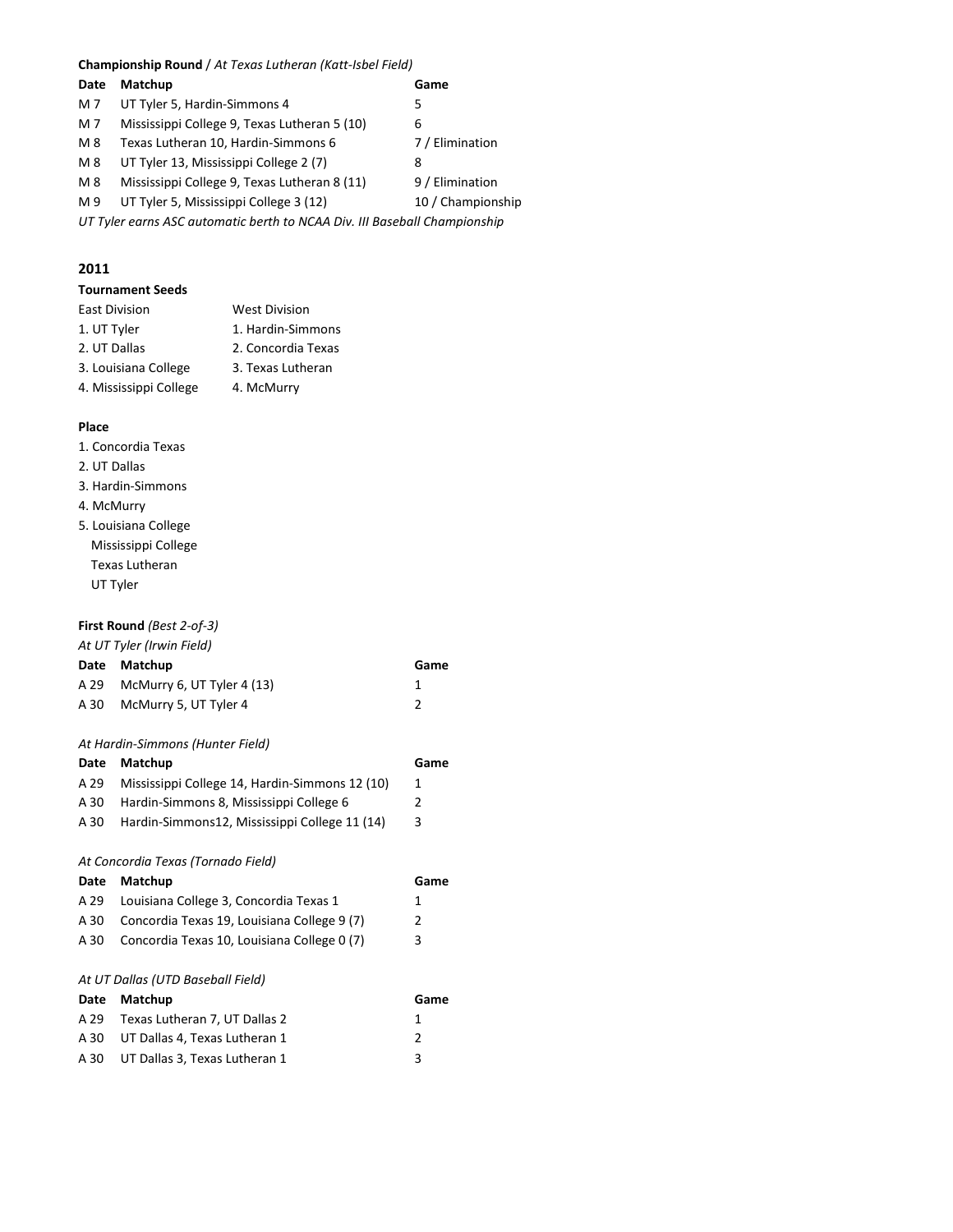#### **Championship Round** / *At Texas Lutheran (Katt-Isbel Field)*

| Date                                                                      | Matchup                                      | Game              |
|---------------------------------------------------------------------------|----------------------------------------------|-------------------|
| M 7                                                                       | UT Tyler 5, Hardin-Simmons 4                 | 5                 |
| M 7                                                                       | Mississippi College 9, Texas Lutheran 5 (10) | 6                 |
| M 8                                                                       | Texas Lutheran 10, Hardin-Simmons 6          | 7 / Elimination   |
| M 8                                                                       | UT Tyler 13, Mississippi College 2 (7)       | 8                 |
| M 8                                                                       | Mississippi College 9, Texas Lutheran 8 (11) | 9 / Elimination   |
| M 9                                                                       | UT Tyler 5, Mississippi College 3 (12)       | 10 / Championship |
| UT Tyler earns ASC automatic berth to NCAA Div. III Baseball Championship |                                              |                   |

#### **2011**

#### **Tournament Seeds**

| <b>East Division</b>   | <b>West Division</b> |
|------------------------|----------------------|
| 1. UT Tyler            | 1. Hardin-Simmons    |
| 2. UT Dallas           | 2. Concordia Texas   |
| 3. Louisiana College   | 3. Texas Lutheran    |
| 4. Mississippi College | 4. McMurry           |
|                        |                      |

#### **Place**

- 1. Concordia Texas
- 2. UT Dallas
- 3. Hardin-Simmons
- 4. McMurry
- 5. Louisiana College Mississippi College Texas Lutheran UT Tyler

#### **First Round** *(Best 2-of-3)*

#### *At UT Tyler (Irwin Field)*

| Date                              | Matchup                                        | Game |  |  |
|-----------------------------------|------------------------------------------------|------|--|--|
| A 29                              | McMurry 6, UT Tyler 4 (13)                     | 1    |  |  |
| A 30                              | McMurry 5, UT Tyler 4                          | 2    |  |  |
|                                   |                                                |      |  |  |
|                                   | At Hardin-Simmons (Hunter Field)               |      |  |  |
| Date                              | Matchup                                        | Game |  |  |
| A 29                              | Mississippi College 14, Hardin-Simmons 12 (10) | 1    |  |  |
| A 30                              | Hardin-Simmons 8, Mississippi College 6        | 2    |  |  |
| A 30                              | Hardin-Simmons12, Mississippi College 11 (14)  | 3    |  |  |
|                                   |                                                |      |  |  |
|                                   | At Concordia Texas (Tornado Field)             |      |  |  |
| Date                              | Matchup                                        | Game |  |  |
| A 29                              | Louisiana College 3, Concordia Texas 1         | 1    |  |  |
| A 30                              | Concordia Texas 19, Louisiana College 9 (7)    | 2    |  |  |
| A 30                              | Concordia Texas 10, Louisiana College 0 (7)    | 3    |  |  |
|                                   |                                                |      |  |  |
| At UT Dallas (UTD Baseball Field) |                                                |      |  |  |
| Date                              | Matchup                                        | Game |  |  |
| A 29                              | Texas Lutheran 7, UT Dallas 2                  | 1    |  |  |
| A 30                              | UT Dallas 4, Texas Lutheran 1                  | 2    |  |  |
| A 30                              | UT Dallas 3, Texas Lutheran 1                  | 3    |  |  |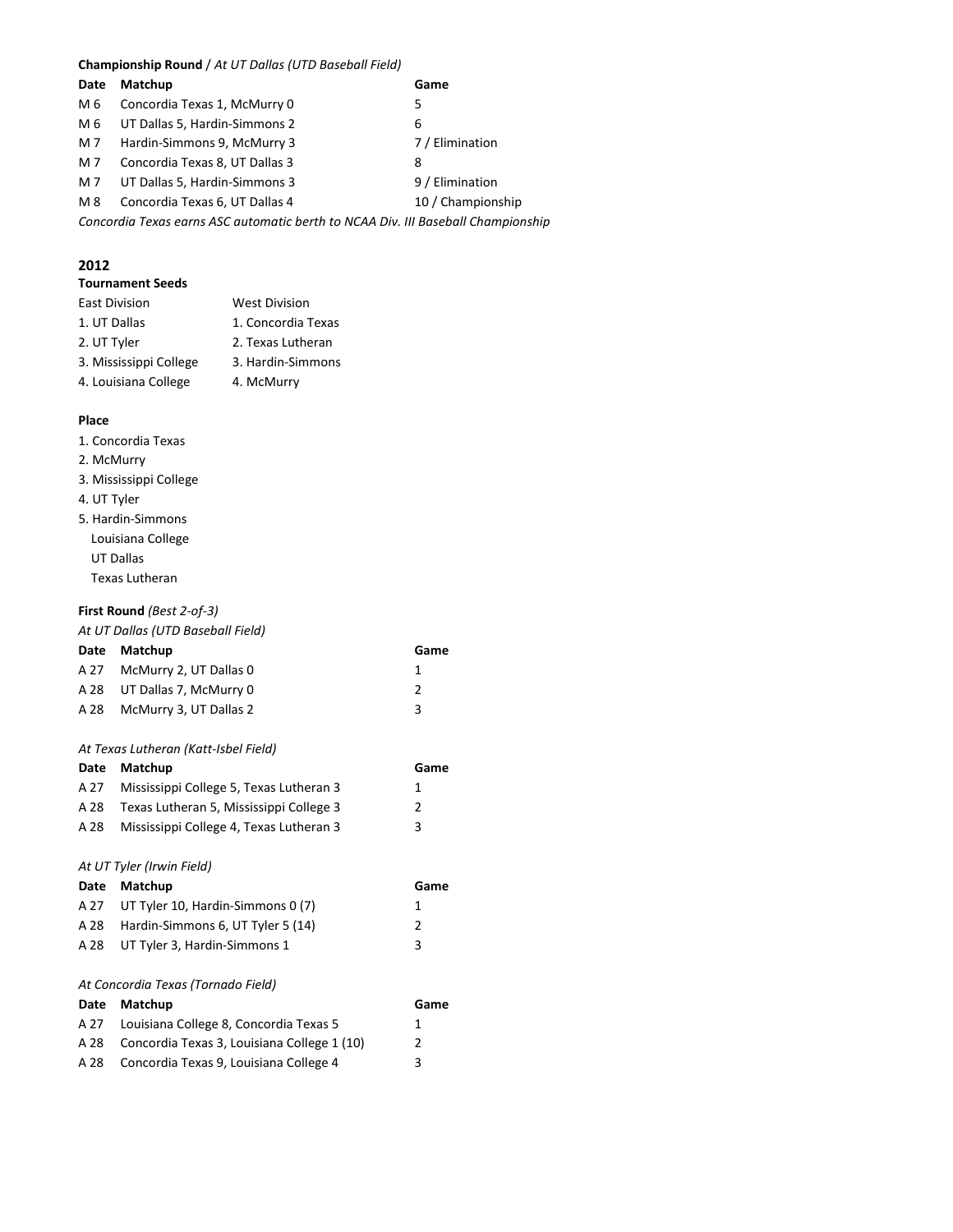#### **Championship Round** / *At UT Dallas (UTD Baseball Field)*

| Date                                                                             | Matchup                        | Game              |  |
|----------------------------------------------------------------------------------|--------------------------------|-------------------|--|
| M 6                                                                              | Concordia Texas 1, McMurry 0   | 5                 |  |
| M 6                                                                              | UT Dallas 5, Hardin-Simmons 2  | 6                 |  |
| M 7                                                                              | Hardin-Simmons 9, McMurry 3    | 7 / Elimination   |  |
| M 7                                                                              | Concordia Texas 8, UT Dallas 3 | 8                 |  |
| M 7                                                                              | UT Dallas 5, Hardin-Simmons 3  | 9 / Elimination   |  |
| M 8                                                                              | Concordia Texas 6, UT Dallas 4 | 10 / Championship |  |
| Concordia Texas earns ASC automatic berth to NCAA Div. III Baseball Championship |                                |                   |  |
|                                                                                  |                                |                   |  |

#### **2012**

#### **Tournament Seeds**

| <b>East Division</b>   | <b>West Division</b> |
|------------------------|----------------------|
| 1. UT Dallas           | 1. Concordia Texas   |
| 2. UT Tyler            | 2. Texas Lutheran    |
| 3. Mississippi College | 3. Hardin-Simmons    |
| 4. Louisiana College   | 4. McMurry           |
|                        |                      |

#### **Place**

#### 1. Concordia Texas

- 2. McMurry
- 3. Mississippi College
- 4. UT Tyler
- 5. Hardin-Simmons Louisiana College UT Dallas Texas Lutheran

#### **First Round** *(Best 2-of-3)*

#### *At UT Dallas (UTD Baseball Field)*

| Date Matchup                | Game |
|-----------------------------|------|
| A 27 McMurry 2, UT Dallas 0 |      |
| A 28 UT Dallas 7, McMurry 0 | 2    |
| A 28 McMurry 3, UT Dallas 2 | ર    |

#### *At Texas Lutheran (Katt-Isbel Field)*

| Date | Matchup                                 | Game |
|------|-----------------------------------------|------|
| A 27 | Mississippi College 5, Texas Lutheran 3 | 1    |
| A 28 | Texas Lutheran 5, Mississippi College 3 | 2    |
| A 28 | Mississippi College 4, Texas Lutheran 3 | 3    |
|      |                                         |      |
|      | At UT Tyler (Irwin Field)               |      |
| Date | Matchup                                 | Game |
| A 27 | UT Tyler 10, Hardin-Simmons 0 (7)       | 1    |
| A 28 | Hardin-Simmons 6, UT Tyler 5 (14)       | 2    |

#### *At Concordia Texas (Tornado Field)*

| Date Matchup                                     | Game          |
|--------------------------------------------------|---------------|
| A 27 Louisiana College 8, Concordia Texas 5      | 1             |
| A 28 Concordia Texas 3, Louisiana College 1 (10) | $\mathcal{P}$ |
| A 28 Concordia Texas 9, Louisiana College 4      | 3             |

A 28 UT Tyler 3, Hardin-Simmons 1 3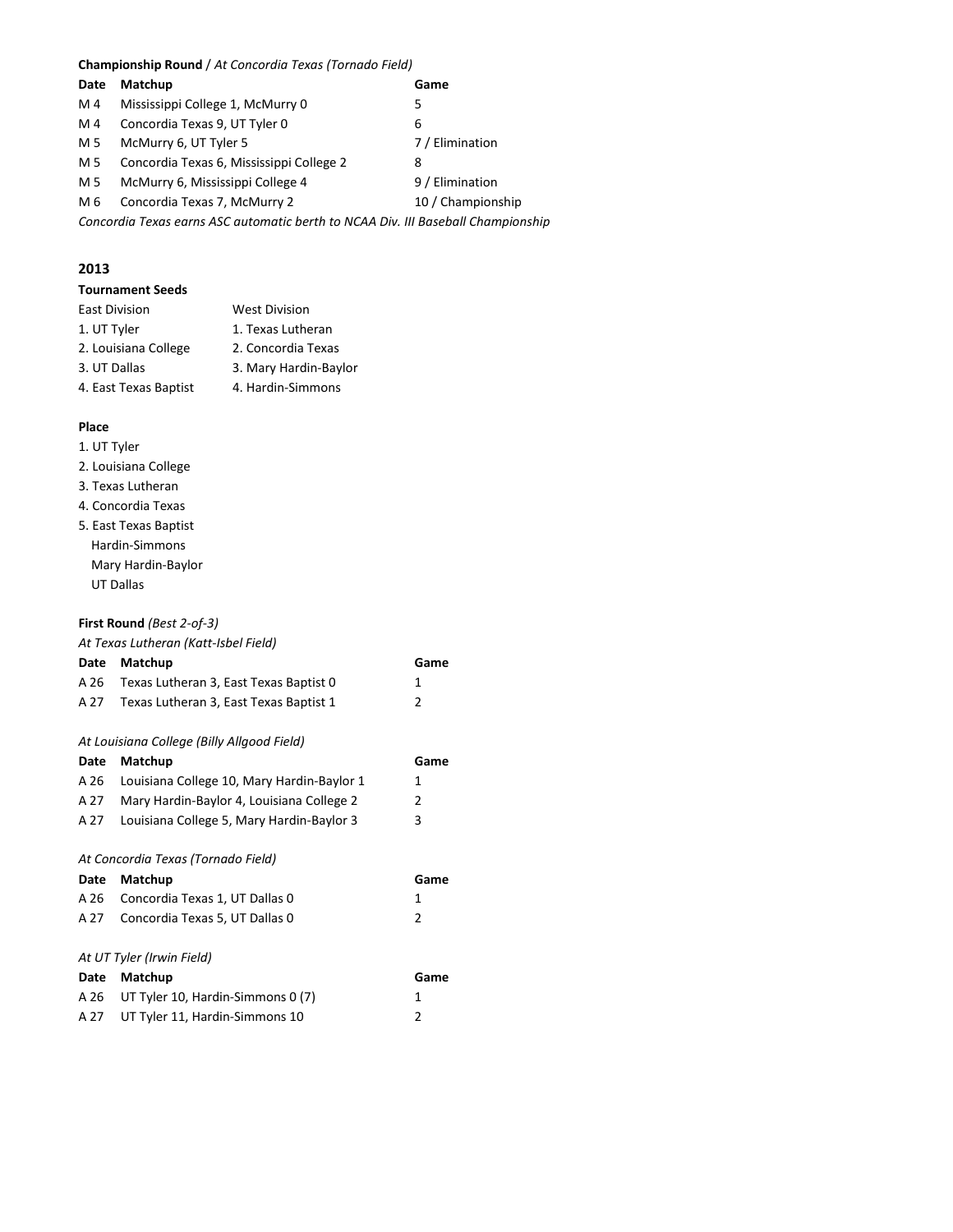**Championship Round** / *At Concordia Texas (Tornado Field)*

| Date | Matchup                                                                          | Game              |
|------|----------------------------------------------------------------------------------|-------------------|
| M 4  | Mississippi College 1, McMurry 0                                                 | 5                 |
| M 4  | Concordia Texas 9, UT Tyler 0                                                    | 6                 |
| M 5  | McMurry 6, UT Tyler 5                                                            | 7 / Elimination   |
| M 5  | Concordia Texas 6, Mississippi College 2                                         | 8                 |
| M 5  | McMurry 6, Mississippi College 4                                                 | 9 / Elimination   |
| M 6  | Concordia Texas 7, McMurry 2                                                     | 10 / Championship |
|      | Concordia Texas earns ASC automatic berth to NCAA Div. III Baseball Championship |                   |

#### **2013**

| <b>Tournament Seeds</b> |                       |
|-------------------------|-----------------------|
| <b>East Division</b>    | <b>West Division</b>  |
| 1. UT Tyler             | 1. Texas Lutheran     |
| 2. Louisiana College    | 2. Concordia Texas    |
| 3. UT Dallas            | 3. Mary Hardin-Baylor |
| 4. East Texas Baptist   | 4. Hardin-Simmons     |
|                         |                       |

#### **Place**

- 1. UT Tyler
- 2. Louisiana College
- 3. Texas Lutheran
- 4. Concordia Texas
- 5. East Texas Baptist Hardin-Simmons Mary Hardin-Baylor UT Dallas

#### **First Round** *(Best 2-of-3)*

#### *At Texas Lutheran (Katt-Isbel Field)*

| Date | Matchup                                    | Game           |
|------|--------------------------------------------|----------------|
| A 26 | Texas Lutheran 3, East Texas Baptist 0     | 1              |
| A 27 | Texas Lutheran 3, East Texas Baptist 1     | 2              |
|      |                                            |                |
|      | At Louisiana College (Billy Allgood Field) |                |
| Date | Matchup                                    | Game           |
| A 26 | Louisiana College 10, Mary Hardin-Baylor 1 | 1              |
| A 27 | Mary Hardin-Baylor 4, Louisiana College 2  | 2              |
| A 27 | Louisiana College 5, Mary Hardin-Baylor 3  | 3              |
|      |                                            |                |
|      | At Concordia Texas (Tornado Field)         |                |
| Date | Matchup                                    | Game           |
| A 26 | Concordia Texas 1, UT Dallas 0             | 1              |
| A 27 | Concordia Texas 5, UT Dallas 0             | $\mathfrak{p}$ |
|      |                                            |                |
|      | At UT Tyler (Irwin Field)                  |                |
| Date | Matchup                                    | Game           |
| A 26 | UT Tyler 10, Hardin-Simmons 0 (7)          | 1              |
| A 27 | UT Tyler 11, Hardin-Simmons 10             | 2              |
|      |                                            |                |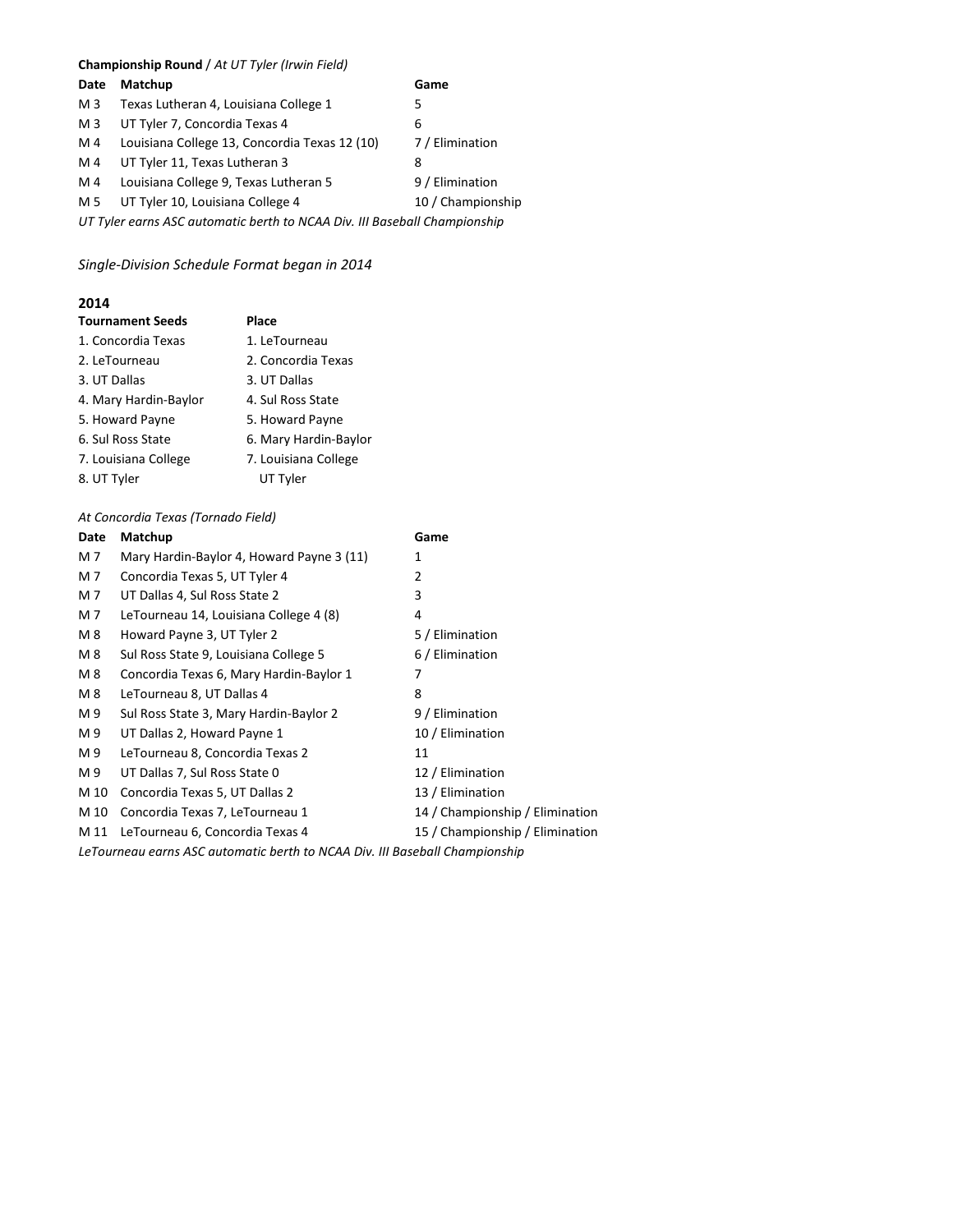#### **Championship Round** / *At UT Tyler (Irwin Field)*

| Date                                                                      | Matchup                                       | Game              |
|---------------------------------------------------------------------------|-----------------------------------------------|-------------------|
| M <sub>3</sub>                                                            | Texas Lutheran 4, Louisiana College 1         | 5                 |
| M <sub>3</sub>                                                            | UT Tyler 7, Concordia Texas 4                 | 6                 |
| M 4                                                                       | Louisiana College 13, Concordia Texas 12 (10) | 7 / Elimination   |
| M 4                                                                       | UT Tyler 11, Texas Lutheran 3                 | 8                 |
| M 4                                                                       | Louisiana College 9, Texas Lutheran 5         | 9 / Elimination   |
| M 5                                                                       | UT Tyler 10, Louisiana College 4              | 10 / Championship |
| UT Tyler earns ASC automatic berth to NCAA Div. III Baseball Championship |                                               |                   |

*Single-Division Schedule Format began in 2014*

### **2014**

| <b>Tournament Seeds</b> | Place                 |
|-------------------------|-----------------------|
| 1. Concordia Texas      | 1. LeTourneau         |
| 2. LeTourneau           | 2. Concordia Texas    |
| 3. UT Dallas            | 3. UT Dallas          |
| 4. Mary Hardin-Baylor   | 4. Sul Ross State     |
| 5. Howard Payne         | 5. Howard Payne       |
| 6. Sul Ross State       | 6. Mary Hardin-Baylor |
| 7. Louisiana College    | 7. Louisiana College  |
| 8. UT Tyler             | UT Tyler              |

#### *At Concordia Texas (Tornado Field)*

| Date | Matchup                                                                     | Game                            |
|------|-----------------------------------------------------------------------------|---------------------------------|
| M 7  | Mary Hardin-Baylor 4, Howard Payne 3 (11)                                   | 1                               |
| M 7  | Concordia Texas 5, UT Tyler 4                                               | 2                               |
| M 7  | UT Dallas 4, Sul Ross State 2                                               | 3                               |
| M 7  | LeTourneau 14, Louisiana College 4 (8)                                      | 4                               |
| M 8  | Howard Payne 3, UT Tyler 2                                                  | 5 / Elimination                 |
| M 8  | Sul Ross State 9, Louisiana College 5                                       | 6 / Elimination                 |
| M 8  | Concordia Texas 6, Mary Hardin-Baylor 1                                     | 7                               |
| M 8  | LeTourneau 8, UT Dallas 4                                                   | 8                               |
| M 9  | Sul Ross State 3, Mary Hardin-Baylor 2                                      | 9 / Elimination                 |
| M 9  | UT Dallas 2, Howard Payne 1                                                 | 10 / Elimination                |
| M 9  | LeTourneau 8, Concordia Texas 2                                             | 11                              |
| M 9  | UT Dallas 7, Sul Ross State 0                                               | 12 / Elimination                |
| M 10 | Concordia Texas 5, UT Dallas 2                                              | 13 / Elimination                |
| M 10 | Concordia Texas 7, LeTourneau 1                                             | 14 / Championship / Elimination |
| M 11 | LeTourneau 6, Concordia Texas 4                                             | 15 / Championship / Elimination |
|      | LeTourneau earns ASC automatic berth to NCAA Div. III Baseball Championship |                                 |
|      |                                                                             |                                 |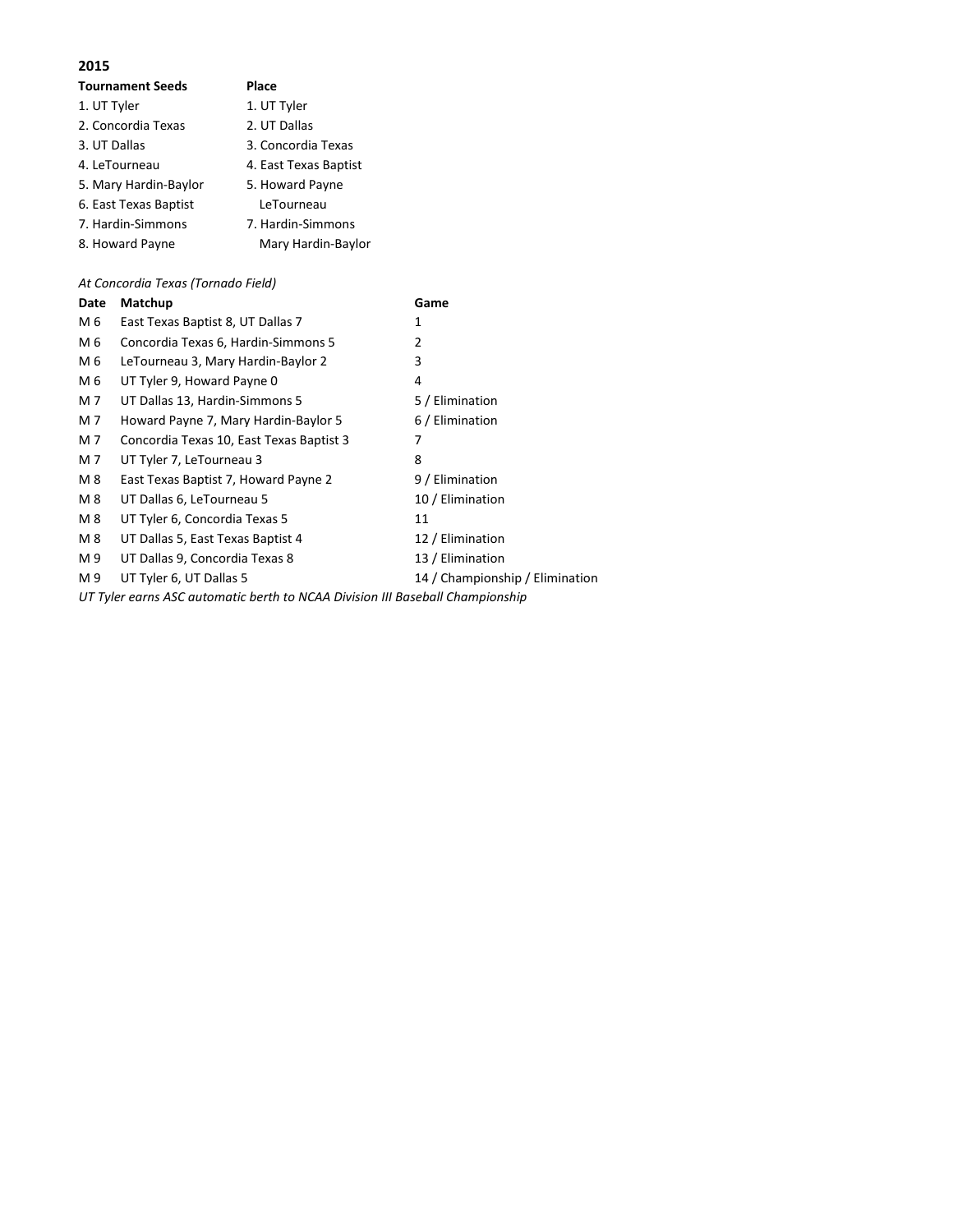| <b>Tournament Seeds</b> | Place                 |
|-------------------------|-----------------------|
| 1. UT Tyler             | 1. UT Tyler           |
| 2. Concordia Texas      | 2. UT Dallas          |
| 3. UT Dallas            | 3. Concordia Texas    |
| 4. LeTourneau           | 4. East Texas Baptist |
| 5. Mary Hardin-Baylor   | 5. Howard Payne       |
| 6. East Texas Baptist   | LeTourneau            |
| 7. Hardin-Simmons       | 7. Hardin-Simmons     |
| 8. Howard Payne         | Mary Hardin-Baylor    |

*At Concordia Texas (Tornado Field)*

| Date | Matchup                                  | Game                            |
|------|------------------------------------------|---------------------------------|
| M 6  | East Texas Baptist 8, UT Dallas 7        | 1                               |
| M 6  | Concordia Texas 6, Hardin-Simmons 5      | 2                               |
| M 6  | LeTourneau 3, Mary Hardin-Baylor 2       | 3                               |
| M 6  | UT Tyler 9, Howard Payne 0               | 4                               |
| M 7  | UT Dallas 13, Hardin-Simmons 5           | 5 / Elimination                 |
| M 7  | Howard Payne 7, Mary Hardin-Baylor 5     | 6 / Elimination                 |
| M 7  | Concordia Texas 10, East Texas Baptist 3 | 7                               |
| M 7  | UT Tyler 7, LeTourneau 3                 | 8                               |
| M 8  | East Texas Baptist 7, Howard Payne 2     | 9 / Elimination                 |
| M 8  | UT Dallas 6, LeTourneau 5                | 10 / Elimination                |
| M 8  | UT Tyler 6, Concordia Texas 5            | 11                              |
| M 8  | UT Dallas 5, East Texas Baptist 4        | 12 / Elimination                |
| M 9  | UT Dallas 9, Concordia Texas 8           | 13 / Elimination                |
| M 9  | UT Tyler 6, UT Dallas 5                  | 14 / Championship / Elimination |
|      |                                          |                                 |

*UT Tyler earns ASC automatic berth to NCAA Division III Baseball Championship*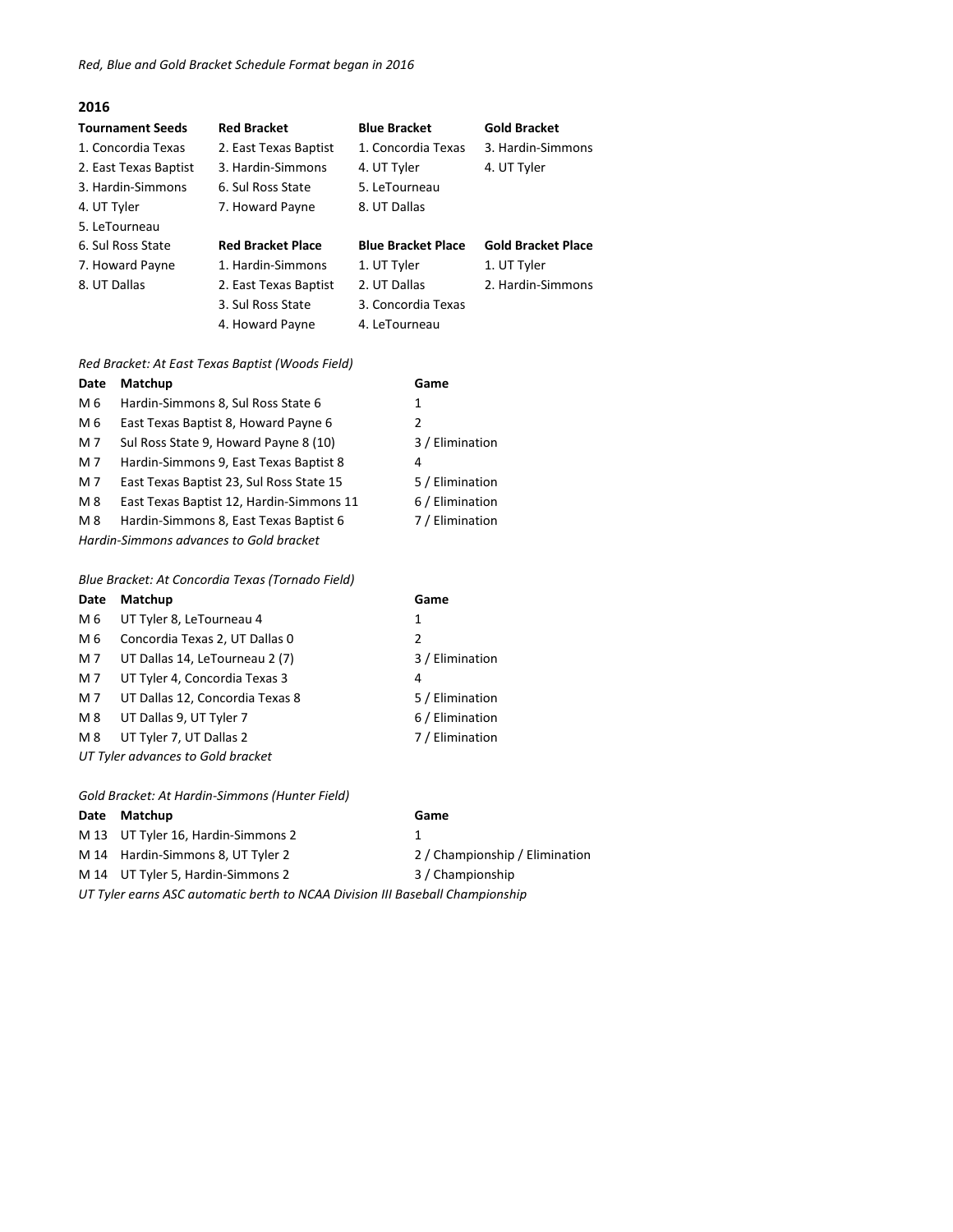| <b>Tournament Seeds</b> | <b>Red Bracket</b>       | <b>Blue Bracket</b>       | <b>Gold Bracket</b>       |
|-------------------------|--------------------------|---------------------------|---------------------------|
| 1. Concordia Texas      | 2. East Texas Baptist    | 1. Concordia Texas        | 3. Hardin-Simmons         |
| 2. East Texas Baptist   | 3. Hardin-Simmons        | 4. UT Tyler               | 4. UT Tyler               |
| 3. Hardin-Simmons       | 6. Sul Ross State        | 5. LeTourneau             |                           |
| 4. UT Tyler             | 7. Howard Payne          | 8. UT Dallas              |                           |
| 5. LeTourneau           |                          |                           |                           |
| 6. Sul Ross State       | <b>Red Bracket Place</b> | <b>Blue Bracket Place</b> | <b>Gold Bracket Place</b> |
| 7. Howard Payne         | 1. Hardin-Simmons        | 1. UT Tyler               | 1. UT Tyler               |
| 8. UT Dallas            | 2. East Texas Baptist    | 2. UT Dallas              | 2. Hardin-Simmons         |
|                         | 3. Sul Ross State        | 3. Concordia Texas        |                           |
|                         | 4. Howard Payne          | 4. LeTourneau             |                           |

#### *Red Bracket: At East Texas Baptist (Woods Field)*

| Date | Matchup                                  | Game            |
|------|------------------------------------------|-----------------|
| M 6  | Hardin-Simmons 8, Sul Ross State 6       | 1               |
| M 6  | East Texas Baptist 8, Howard Payne 6     | 2               |
| M 7  | Sul Ross State 9, Howard Payne 8 (10)    | 3 / Elimination |
| M 7  | Hardin-Simmons 9, East Texas Baptist 8   | 4               |
| M 7  | East Texas Baptist 23, Sul Ross State 15 | 5 / Elimination |
| M 8  | East Texas Baptist 12, Hardin-Simmons 11 | 6 / Elimination |
| M 8  | Hardin-Simmons 8, East Texas Baptist 6   | 7 / Elimination |
|      | Hardin-Simmons advances to Gold bracket  |                 |

#### *Blue Bracket: At Concordia Texas (Tornado Field)*

| Date                              | Matchup                         | Game            |
|-----------------------------------|---------------------------------|-----------------|
| M 6                               | UT Tyler 8, LeTourneau 4        | 1               |
| M 6                               | Concordia Texas 2, UT Dallas 0  | 2               |
| M 7                               | UT Dallas 14, LeTourneau 2 (7)  | 3 / Elimination |
| M 7                               | UT Tyler 4, Concordia Texas 3   | 4               |
| M 7                               | UT Dallas 12, Concordia Texas 8 | 5 / Elimination |
| M 8                               | UT Dallas 9, UT Tyler 7         | 6 / Elimination |
| M 8                               | UT Tyler 7, UT Dallas 2         | 7 / Elimination |
| UT Tyler advances to Gold bracket |                                 |                 |
|                                   |                                 |                 |

*Gold Bracket: At Hardin-Simmons (Hunter Field)*

#### **Date Matchup Game**

|                                                                               | M 13 UT Tyler 16, Hardin-Simmons 2 |                                |
|-------------------------------------------------------------------------------|------------------------------------|--------------------------------|
|                                                                               | M 14 Hardin-Simmons 8, UT Tyler 2  | 2 / Championship / Elimination |
|                                                                               | M 14 UT Tyler 5, Hardin-Simmons 2  | 3 / Championship               |
| UT Tyler earns ASC automatic berth to NCAA Division III Baseball Championship |                                    |                                |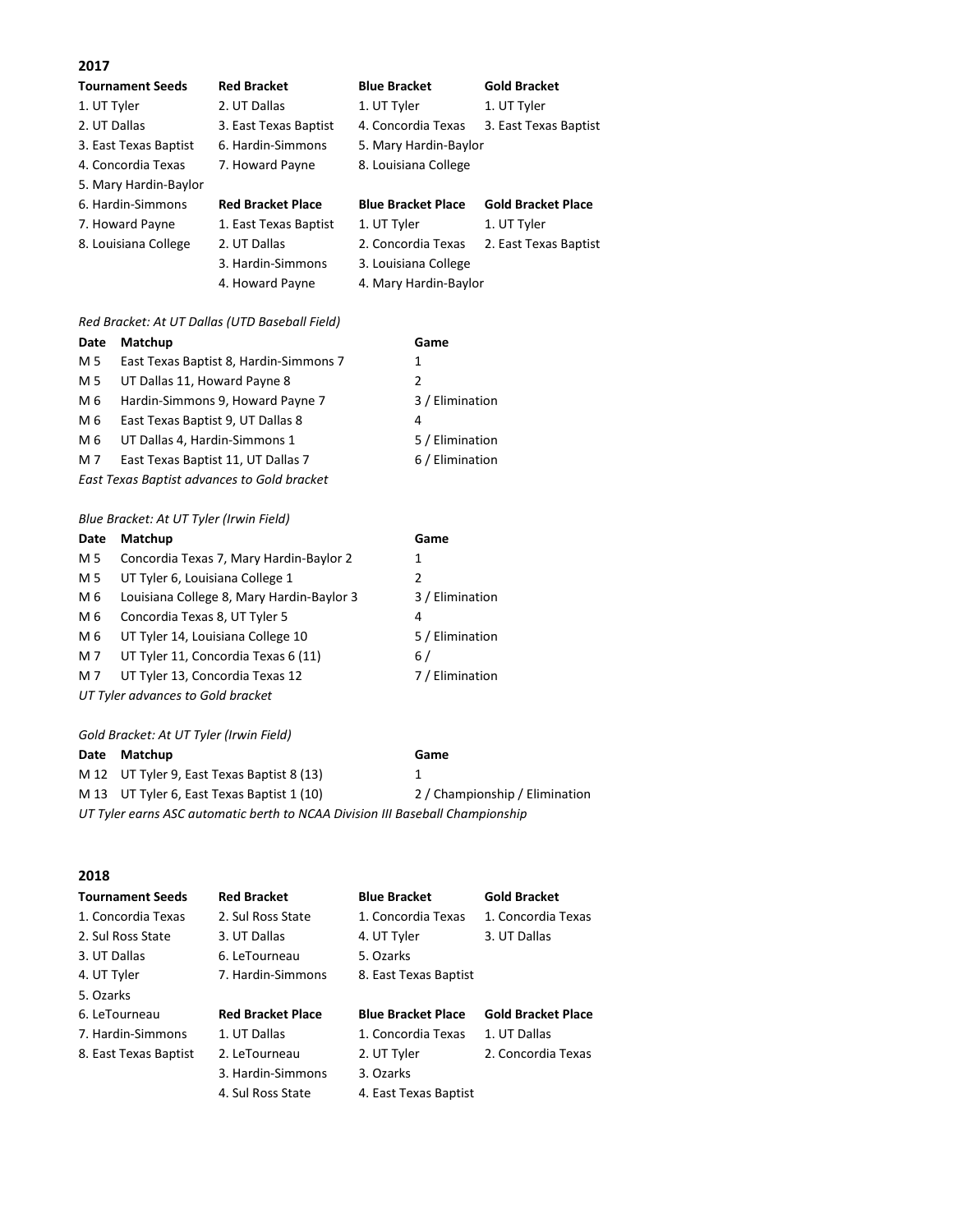| <b>Tournament Seeds</b> | <b>Red Bracket</b>       | <b>Blue Bracket</b>       | <b>Gold Bracket</b>       |
|-------------------------|--------------------------|---------------------------|---------------------------|
| 1. UT Tyler             | 2. UT Dallas             | 1. UT Tyler               | 1. UT Tyler               |
| 2. UT Dallas            | 3. East Texas Baptist    | 4. Concordia Texas        | 3. East Texas Baptist     |
| 3. East Texas Baptist   | 6. Hardin-Simmons        | 5. Mary Hardin-Baylor     |                           |
| 4. Concordia Texas      | 7. Howard Payne          | 8. Louisiana College      |                           |
| 5. Mary Hardin-Baylor   |                          |                           |                           |
| 6. Hardin-Simmons       | <b>Red Bracket Place</b> | <b>Blue Bracket Place</b> | <b>Gold Bracket Place</b> |
| 7. Howard Payne         | 1. East Texas Baptist    | 1. UT Tyler               | 1. UT Tyler               |
| 8. Louisiana College    | 2. UT Dallas             | 2. Concordia Texas        | 2. East Texas Baptist     |

3. Hardin-Simmons 3. Louisiana College 4. Howard Payne 4. Mary Hardin-Baylor

#### *Red Bracket: At UT Dallas (UTD Baseball Field)*

| Date | Matchup                                | Game            |
|------|----------------------------------------|-----------------|
| M 5  | East Texas Baptist 8, Hardin-Simmons 7 | 1               |
| M 5  | UT Dallas 11, Howard Payne 8           | 2               |
| M 6  | Hardin-Simmons 9, Howard Payne 7       | 3 / Elimination |
| M 6  | East Texas Baptist 9, UT Dallas 8      | 4               |
| M 6  | UT Dallas 4, Hardin-Simmons 1          | 5 / Elimination |
| M 7  | East Texas Baptist 11, UT Dallas 7     | 6 / Elimination |
|      |                                        |                 |

*East Texas Baptist advances to Gold bracket*

| Blue Bracket: At UT Tyler (Irwin Field) |  |
|-----------------------------------------|--|
|-----------------------------------------|--|

| Date | Matchup                                   | Game            |
|------|-------------------------------------------|-----------------|
| M 5  | Concordia Texas 7, Mary Hardin-Baylor 2   | 1               |
| M 5  | UT Tyler 6, Louisiana College 1           | 2               |
| M 6  | Louisiana College 8, Mary Hardin-Baylor 3 | 3 / Elimination |
| M 6  | Concordia Texas 8, UT Tyler 5             | 4               |
| M 6  | UT Tyler 14, Louisiana College 10         | 5 / Elimination |
| M7   | UT Tyler 11, Concordia Texas 6 (11)       | 6 /             |
| M7   | UT Tyler 13, Concordia Texas 12           | 7 / Elimination |
|      | UT Tyler advances to Gold bracket         |                 |

*Gold Bracket: At UT Tyler (Irwin Field)*

|                                                                               | Date Matchup                               | Game                           |  |
|-------------------------------------------------------------------------------|--------------------------------------------|--------------------------------|--|
|                                                                               | M 12 UT Tyler 9, East Texas Baptist 8 (13) | п.                             |  |
|                                                                               | M 13 UT Tyler 6, East Texas Baptist 1 (10) | 2 / Championship / Elimination |  |
| UT Tyler earns ASC automatic berth to NCAA Division III Baseball Championship |                                            |                                |  |

#### **2018**

| <b>Tournament Seeds</b> | <b>Red Bracket</b>       | <b>Blue Bracket</b>       | <b>Gold Bracket</b>       |
|-------------------------|--------------------------|---------------------------|---------------------------|
| 1. Concordia Texas      | 2. Sul Ross State        | 1. Concordia Texas        | 1. Concordia Texas        |
| 2. Sul Ross State       | 3. UT Dallas             | 4. UT Tyler               | 3. UT Dallas              |
| 3. UT Dallas            | 6. LeTourneau            | 5. Ozarks                 |                           |
| 4. UT Tyler             | 7. Hardin-Simmons        | 8. East Texas Baptist     |                           |
| 5. Ozarks               |                          |                           |                           |
| 6. LeTourneau           | <b>Red Bracket Place</b> | <b>Blue Bracket Place</b> | <b>Gold Bracket Place</b> |
| 7. Hardin-Simmons       | 1. UT Dallas             | 1. Concordia Texas        | 1. UT Dallas              |
| 8. East Texas Baptist   | 2. LeTourneau            | 2. UT Tyler               | 2. Concordia Texas        |
|                         | 3. Hardin-Simmons        | 3. Ozarks                 |                           |
|                         | 4. Sul Ross State        | 4. East Texas Baptist     |                           |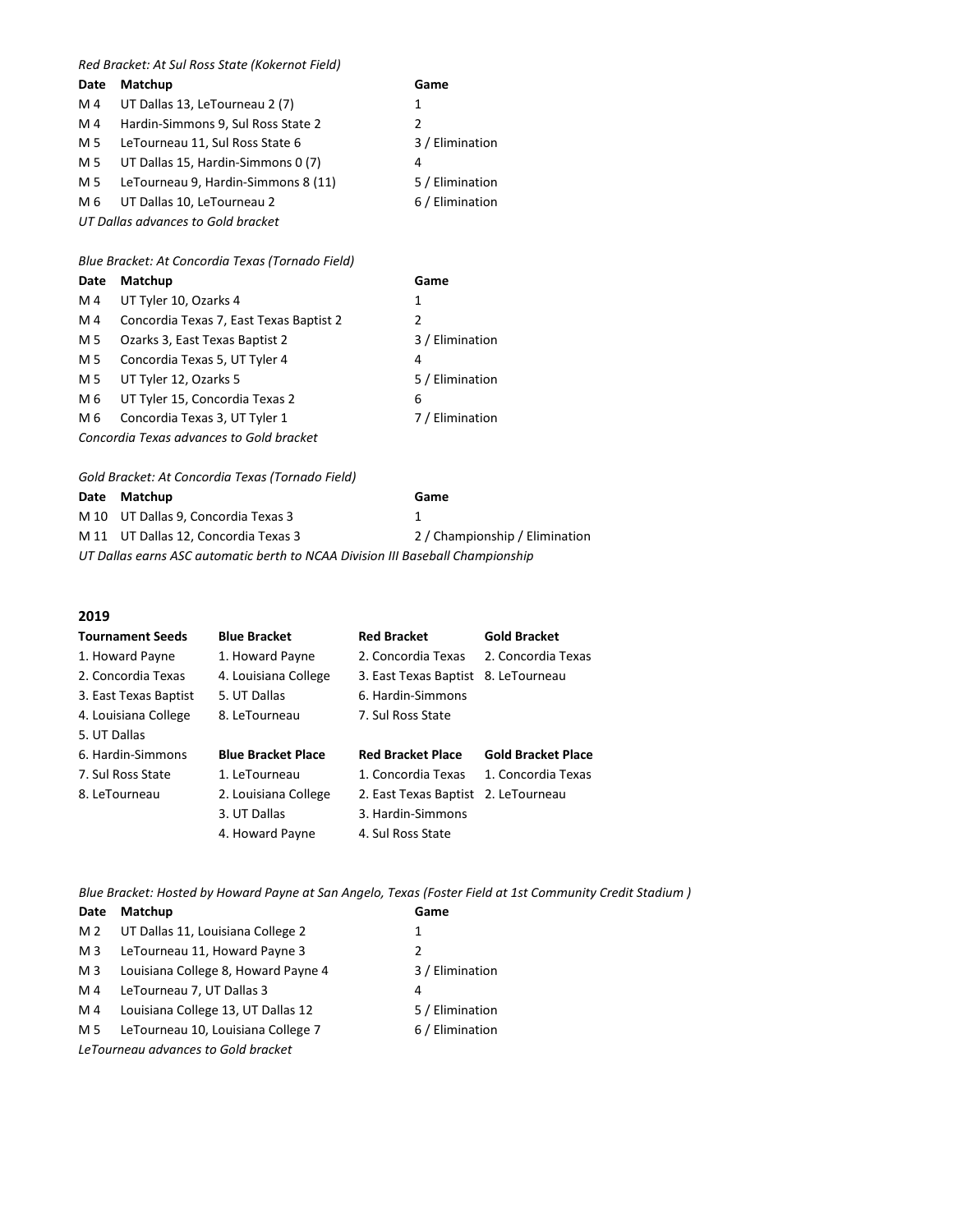#### *Red Bracket: At Sul Ross State (Kokernot Field)*

| Date | Matchup                             | Game            |
|------|-------------------------------------|-----------------|
| M 4  | UT Dallas 13, LeTourneau 2 (7)      | 1               |
| M4   | Hardin-Simmons 9, Sul Ross State 2  | 2               |
| M 5  | LeTourneau 11, Sul Ross State 6     | 3 / Elimination |
| M 5  | UT Dallas 15, Hardin-Simmons 0 (7)  | 4               |
| M 5  | LeTourneau 9, Hardin-Simmons 8 (11) | 5 / Elimination |
| M 6  | UT Dallas 10, LeTourneau 2          | 6 / Elimination |
|      | UT Dallas advances to Gold bracket  |                 |

*Blue Bracket: At Concordia Texas (Tornado Field)*

| Date | Matchup                                  | Game            |
|------|------------------------------------------|-----------------|
| M 4  | UT Tyler 10, Ozarks 4                    | 1               |
| M 4  | Concordia Texas 7, East Texas Baptist 2  | 2               |
| M 5  | Ozarks 3, East Texas Baptist 2           | 3 / Elimination |
| M 5  | Concordia Texas 5, UT Tyler 4            | 4               |
| M 5  | UT Tyler 12, Ozarks 5                    | 5 / Elimination |
| M 6  | UT Tyler 15, Concordia Texas 2           | 6               |
| M 6  | Concordia Texas 3, UT Tyler 1            | 7 / Elimination |
|      | Concordia Texas advances to Gold bracket |                 |
|      |                                          |                 |

*Gold Bracket: At Concordia Texas (Tornado Field)*

|                                                                                | Date Matchup                         | Game                           |  |
|--------------------------------------------------------------------------------|--------------------------------------|--------------------------------|--|
|                                                                                | M 10 UT Dallas 9, Concordia Texas 3  |                                |  |
|                                                                                | M 11 UT Dallas 12, Concordia Texas 3 | 2 / Championship / Elimination |  |
| UT Dallas earns ASC automatic berth to NCAA Division III Baseball Championship |                                      |                                |  |

#### **2019**

| <b>Tournament Seeds</b> | <b>Blue Bracket</b>       | <b>Red Bracket</b>       | <b>Gold Bracket</b>       |
|-------------------------|---------------------------|--------------------------|---------------------------|
| 1. Howard Payne         | 1. Howard Payne           | 2. Concordia Texas       | 2. Concordia Texas        |
| 2. Concordia Texas      | 4. Louisiana College      | 3. East Texas Baptist    | 8. LeTourneau             |
| 3. East Texas Baptist   | 5. UT Dallas              | 6. Hardin-Simmons        |                           |
| 4. Louisiana College    | 8. LeTourneau             | 7. Sul Ross State        |                           |
| 5. UT Dallas            |                           |                          |                           |
| 6. Hardin-Simmons       | <b>Blue Bracket Place</b> | <b>Red Bracket Place</b> | <b>Gold Bracket Place</b> |
| 7. Sul Ross State       | 1. LeTourneau             | 1. Concordia Texas       | 1. Concordia Texas        |
| 8. LeTourneau           | 2. Louisiana College      | 2. East Texas Baptist    | 2. LeTourneau             |
|                         | 3. UT Dallas              | 3. Hardin-Simmons        |                           |
|                         | 4. Howard Payne           | 4. Sul Ross State        |                           |

*Blue Bracket: Hosted by Howard Payne at San Angelo, Texas (Foster Field at 1st Community Credit Stadium )*

| Date | <b>Matchup</b>                      | Game            |
|------|-------------------------------------|-----------------|
| M 2  | UT Dallas 11, Louisiana College 2   | 1               |
| M 3  | LeTourneau 11, Howard Payne 3       | 2               |
| M 3  | Louisiana College 8, Howard Payne 4 | 3 / Elimination |
| M 4  | LeTourneau 7, UT Dallas 3           | 4               |
| M 4  | Louisiana College 13, UT Dallas 12  | 5 / Elimination |
| M 5  | LeTourneau 10, Louisiana College 7  | 6 / Elimination |
|      | LeTourneau advances to Gold bracket |                 |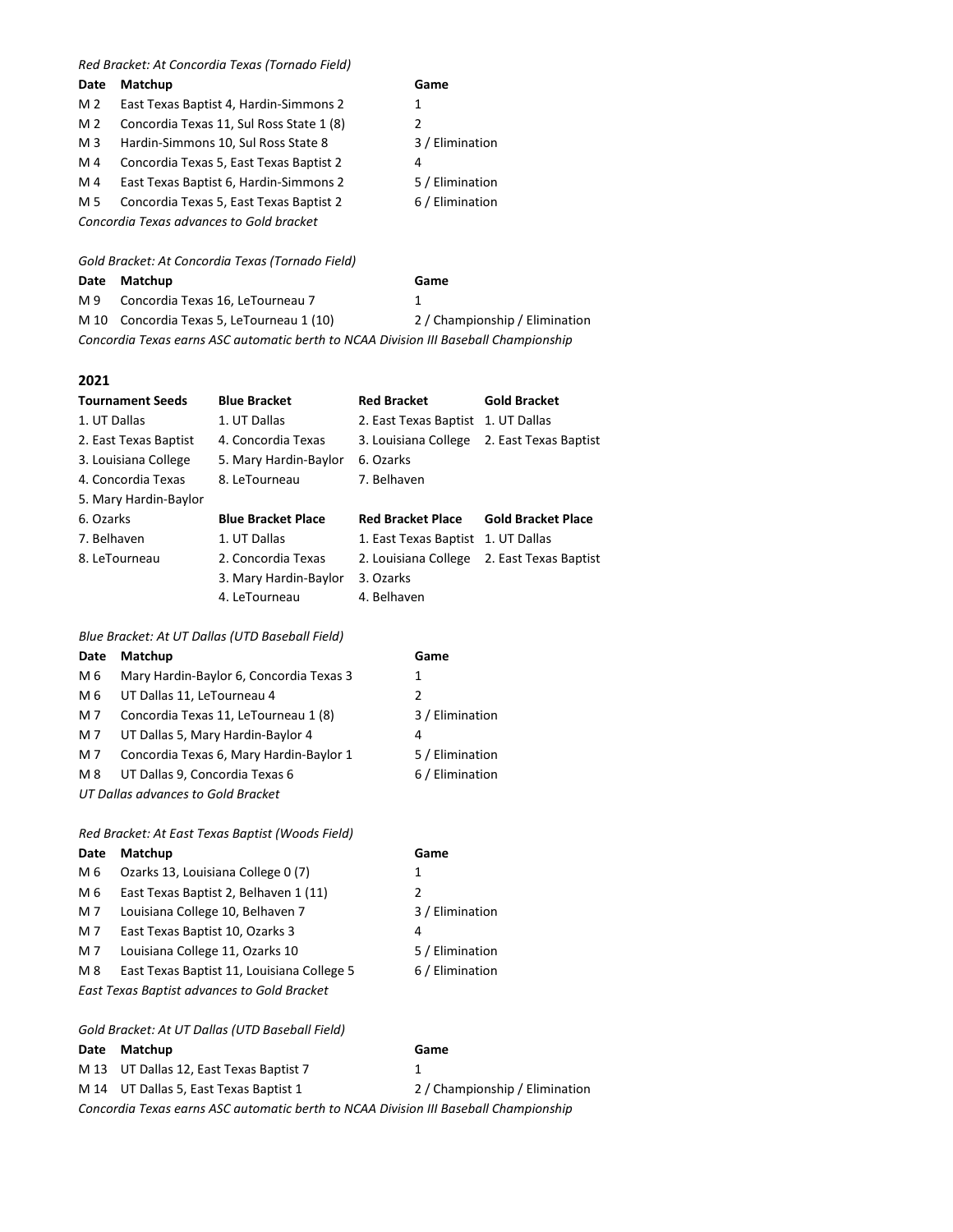#### *Red Bracket: At Concordia Texas (Tornado Field)*

| Date           | Matchup                                  | Game          |  |
|----------------|------------------------------------------|---------------|--|
| M 2            | East Texas Baptist 4, Hardin-Simmons 2   | 1             |  |
| M 2            | Concordia Texas 11, Sul Ross State 1 (8) | $\mathcal{L}$ |  |
| M <sub>3</sub> | Hardin-Simmons 10, Sul Ross State 8      | 3 / Elii      |  |
| M 4            | Concordia Texas 5, East Texas Baptist 2  | 4             |  |
| M 4            | East Texas Baptist 6, Hardin-Simmons 2   | 5 / Elii      |  |
| M 5            | Concordia Texas 5, East Texas Baptist 2  | $6/$ Elii     |  |
|                | Concordia Texas advances to Gold bracket |               |  |
|                |                                          |               |  |

*Gold Bracket: At Concordia Texas (Tornado Field)*

#### **Date Matchup Game**

M 9 Concordia Texas 16, LeTourneau 7 1

3 / Elimination

5 / Elimination 6 / Elimination

M 10 Concordia Texas 5, LeTourneau 1 (10) 2 / Championship / Elimination

*Concordia Texas earns ASC automatic berth to NCAA Division III Baseball Championship*

**2021**

| <b>Tournament Seeds</b> | <b>Blue Bracket</b>       | <b>Red Bracket</b>       | <b>Gold Bracket</b>       |
|-------------------------|---------------------------|--------------------------|---------------------------|
| 1. UT Dallas            | 1. UT Dallas              | 2. East Texas Baptist    | 1. UT Dallas              |
| 2. East Texas Baptist   | 4. Concordia Texas        | 3. Louisiana College     | 2. East Texas Baptist     |
| 3. Louisiana College    | 5. Mary Hardin-Baylor     | 6. Ozarks                |                           |
| 4. Concordia Texas      | 8. LeTourneau             | 7. Belhaven              |                           |
| 5. Mary Hardin-Baylor   |                           |                          |                           |
| 6. Ozarks               | <b>Blue Bracket Place</b> | <b>Red Bracket Place</b> | <b>Gold Bracket Place</b> |
| 7. Belhaven             | 1. UT Dallas              | 1. East Texas Baptist    | 1. UT Dallas              |
| 8. LeTourneau           | 2. Concordia Texas        | 2. Louisiana College     | 2. East Texas Baptist     |
|                         | 3. Mary Hardin-Baylor     | 3. Ozarks                |                           |
|                         | 4. LeTourneau             | 4. Belhaven              |                           |

#### *Blue Bracket: At UT Dallas (UTD Baseball Field)*

| Date                               | <b>Matchup</b>                          | Game            |
|------------------------------------|-----------------------------------------|-----------------|
| M 6                                | Mary Hardin-Baylor 6, Concordia Texas 3 | 1               |
| M 6                                | UT Dallas 11, LeTourneau 4              | 2               |
| M 7                                | Concordia Texas 11, LeTourneau 1 (8)    | 3 / Elimination |
| M 7                                | UT Dallas 5, Mary Hardin-Baylor 4       | 4               |
| M 7                                | Concordia Texas 6, Mary Hardin-Baylor 1 | 5 / Elimination |
| M 8                                | UT Dallas 9, Concordia Texas 6          | 6 / Elimination |
| UT Dallas advances to Gold Bracket |                                         |                 |

#### *Red Bracket: At East Texas Baptist (Woods Field)*

| Date                                        | Matchup                                    | Game            |
|---------------------------------------------|--------------------------------------------|-----------------|
| M 6                                         | Ozarks 13, Louisiana College 0 (7)         | 1               |
| M 6                                         | East Texas Baptist 2, Belhaven 1 (11)      | 2               |
| M 7                                         | Louisiana College 10, Belhaven 7           | 3 / Elimination |
| M 7                                         | East Texas Baptist 10, Ozarks 3            | 4               |
| M 7                                         | Louisiana College 11, Ozarks 10            | 5 / Elimination |
| M 8                                         | East Texas Baptist 11, Louisiana College 5 | 6 / Elimination |
| East Texas Baptist advances to Gold Bracket |                                            |                 |

*Gold Bracket: At UT Dallas (UTD Baseball Field)*

**Date Matchup Game** M 13 UT Dallas 12, East Texas Baptist 7 1 M 14 UT Dallas 5, East Texas Baptist 1 2 / Championship / Elimination *Concordia Texas earns ASC automatic berth to NCAA Division III Baseball Championship*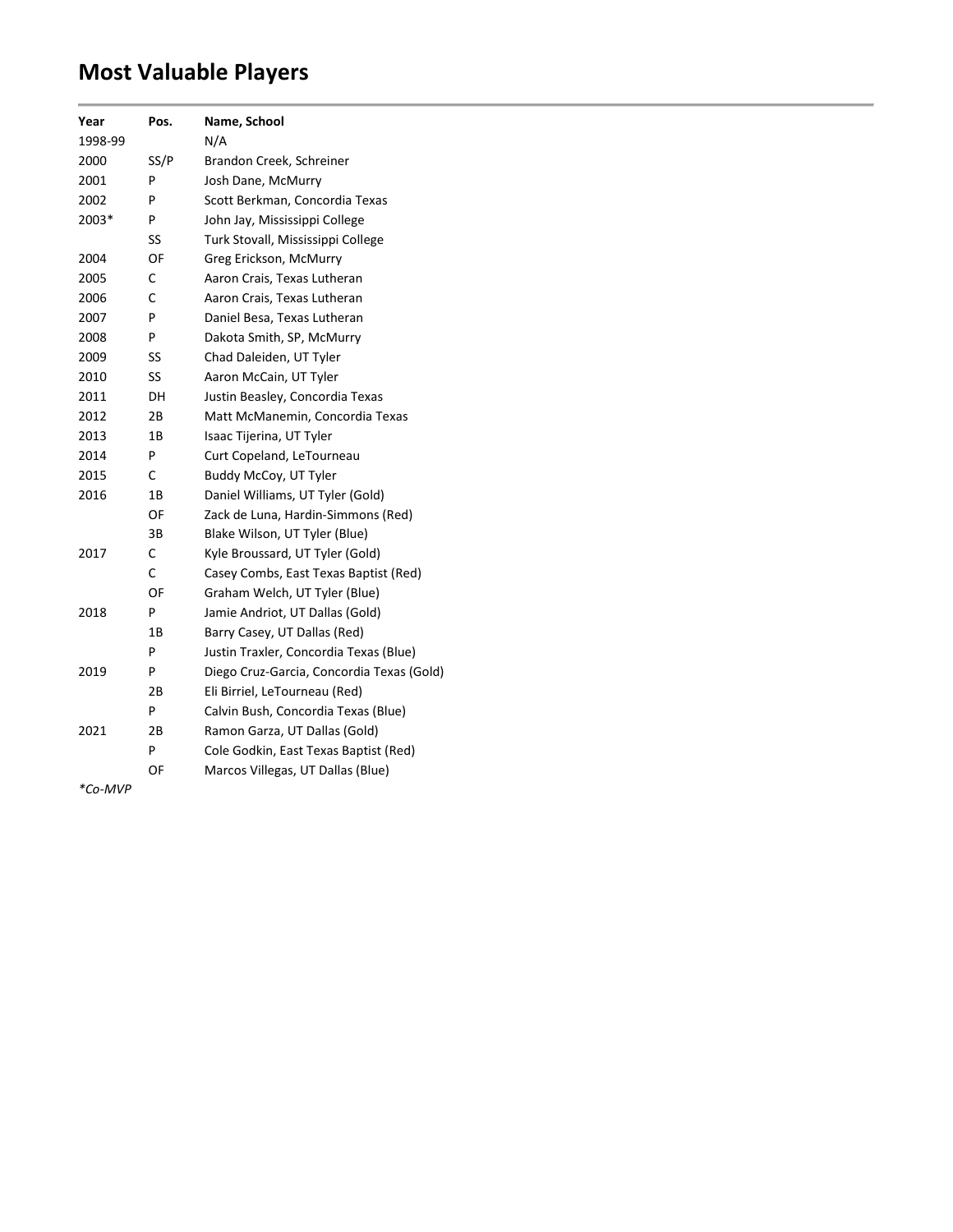## **Most Valuable Players**

| Year                   | Pos. | Name, School                              |
|------------------------|------|-------------------------------------------|
| 1998-99                |      | N/A                                       |
| 2000                   | SS/P | Brandon Creek, Schreiner                  |
| 2001                   | P    | Josh Dane, McMurry                        |
| 2002                   | P    | Scott Berkman, Concordia Texas            |
| 2003*                  | P    | John Jay, Mississippi College             |
|                        | SS   | Turk Stovall, Mississippi College         |
| 2004                   | OF   | Greg Erickson, McMurry                    |
| 2005                   | C    | Aaron Crais, Texas Lutheran               |
| 2006                   | C    | Aaron Crais, Texas Lutheran               |
| 2007                   | P    | Daniel Besa, Texas Lutheran               |
| 2008                   | P    | Dakota Smith, SP, McMurry                 |
| 2009                   | SS   | Chad Daleiden, UT Tyler                   |
| 2010                   | SS   | Aaron McCain, UT Tyler                    |
| 2011                   | DН   | Justin Beasley, Concordia Texas           |
| 2012                   | 2В   | Matt McManemin, Concordia Texas           |
| 2013                   | 1Β   | Isaac Tijerina, UT Tyler                  |
| 2014                   | P    | Curt Copeland, LeTourneau                 |
| 2015                   | C    | Buddy McCoy, UT Tyler                     |
| 2016                   | 1В   | Daniel Williams, UT Tyler (Gold)          |
|                        | OF   | Zack de Luna, Hardin-Simmons (Red)        |
|                        | ЗB   | Blake Wilson, UT Tyler (Blue)             |
| 2017                   | C    | Kyle Broussard, UT Tyler (Gold)           |
|                        | C    | Casey Combs, East Texas Baptist (Red)     |
|                        | OF   | Graham Welch, UT Tyler (Blue)             |
| 2018                   | P    | Jamie Andriot, UT Dallas (Gold)           |
|                        | 1Β   | Barry Casey, UT Dallas (Red)              |
|                        | P    | Justin Traxler, Concordia Texas (Blue)    |
| 2019                   | P    | Diego Cruz-Garcia, Concordia Texas (Gold) |
|                        | 2В   | Eli Birriel, LeTourneau (Red)             |
|                        | P    | Calvin Bush, Concordia Texas (Blue)       |
| 2021                   | 2В   | Ramon Garza, UT Dallas (Gold)             |
|                        | P    | Cole Godkin, East Texas Baptist (Red)     |
|                        | OF   | Marcos Villegas, UT Dallas (Blue)         |
| $*$ $\sim$ $\sim$<br>A |      |                                           |

*\*Co-MVP*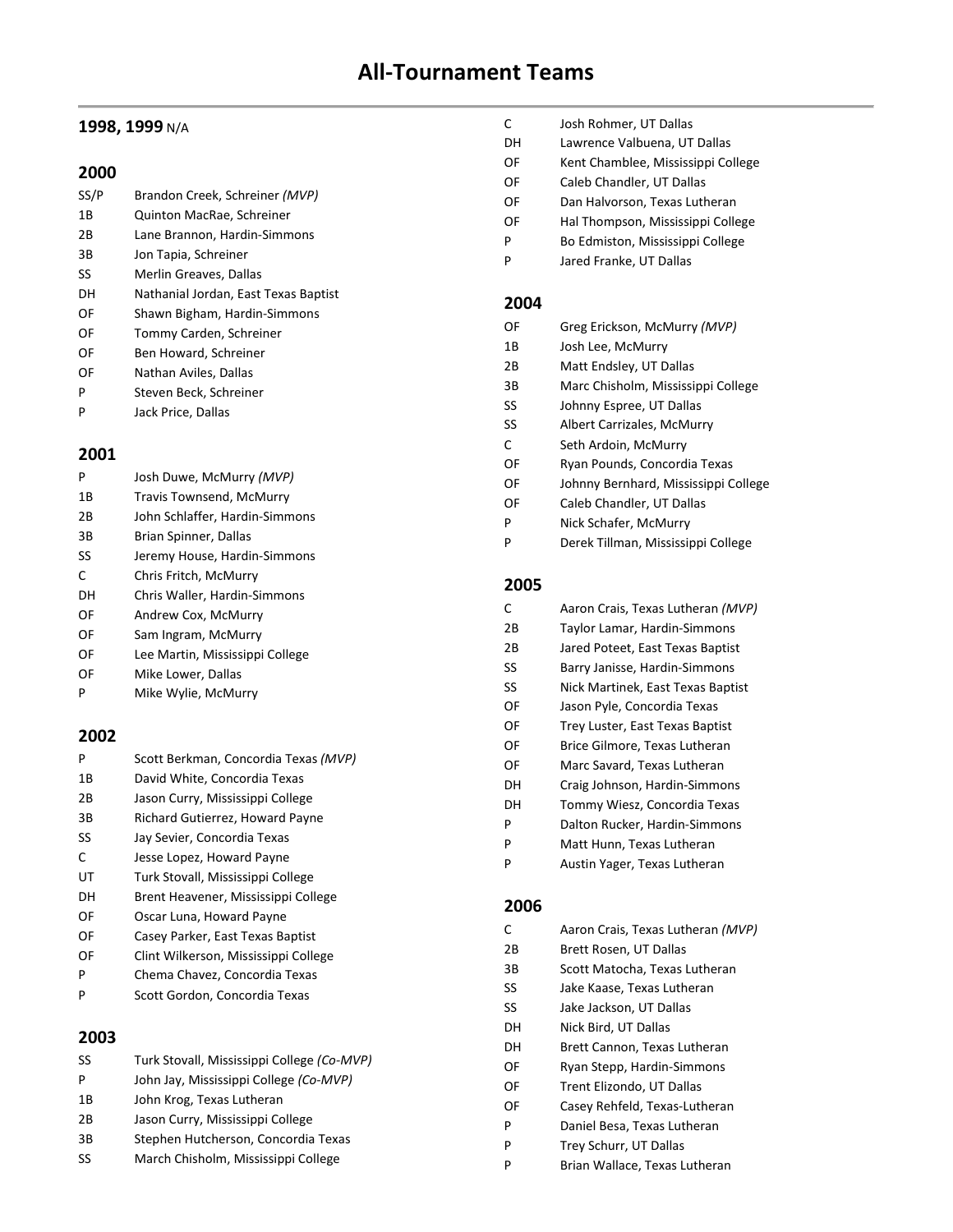### **1998, 1999** N/A

#### **2000**

| SS/P | Brandon Creek, Schreiner (MVP)       |
|------|--------------------------------------|
| 1B   | Quinton MacRae, Schreiner            |
| 2B   | Lane Brannon, Hardin-Simmons         |
| 3B   | Jon Tapia, Schreiner                 |
| SS   | Merlin Greaves, Dallas               |
| DН   | Nathanial Jordan, East Texas Baptist |
| OF   | Shawn Bigham, Hardin-Simmons         |
| OF   | Tommy Carden, Schreiner              |
| OF   | Ben Howard, Schreiner                |
| OF   | Nathan Aviles, Dallas                |
| P    | Steven Beck, Schreiner               |
|      |                                      |

P Jack Price, Dallas

#### **2001**

| P  | Josh Duwe, McMurry (MVP)        |
|----|---------------------------------|
| 1Β | Travis Townsend, McMurry        |
| 2Β | John Schlaffer, Hardin-Simmons  |
| 3B | Brian Spinner, Dallas           |
| SS | Jeremy House, Hardin-Simmons    |
| C  | Chris Fritch, McMurry           |
| DH | Chris Waller, Hardin-Simmons    |
| OF | Andrew Cox, McMurry             |
| OF | Sam Ingram, McMurry             |
| OF | Lee Martin, Mississippi College |
| OF | Mike Lower, Dallas              |
| P  | Mike Wylie, McMurry             |

#### **2002**

| P  | Scott Berkman, Concordia Texas (MVP) |
|----|--------------------------------------|
| 1В | David White, Concordia Texas         |
| 2Β | Jason Curry, Mississippi College     |
| 3B | Richard Gutierrez, Howard Payne      |
| SS | Jay Sevier, Concordia Texas          |
| C  | Jesse Lopez, Howard Payne            |
| UT | Turk Stovall, Mississippi College    |
| DН | Brent Heavener, Mississippi College  |
| OF | Oscar Luna, Howard Payne             |
| OF | Casey Parker, East Texas Baptist     |
| OF | Clint Wilkerson, Mississippi College |
|    |                                      |

- P Chema Chavez, Concordia Texas
- P Scott Gordon, Concordia Texas

### **2003**

| SS | Turk Stovall, Mississippi College (Co-MVP) |
|----|--------------------------------------------|
| P  | John Jay, Mississippi College (Co-MVP)     |
| 1B | John Krog, Texas Lutheran                  |
| 2B | Jason Curry, Mississippi College           |
| 3B | Stephen Hutcherson, Concordia Texas        |
| SS | March Chisholm, Mississippi College        |

- C Josh Rohmer, UT Dallas
- DH Lawrence Valbuena, UT Dallas
- OF Kent Chamblee, Mississippi College
- OF Caleb Chandler, UT Dallas
- OF Dan Halvorson, Texas Lutheran
- OF Hal Thompson, Mississippi College
- P Bo Edmiston, Mississippi College
- P Jared Franke, UT Dallas

#### **2004**

| OF | Greg Erickson, McMurry (MVP)         |
|----|--------------------------------------|
| 1B | Josh Lee, McMurry                    |
| 2Β | Matt Endsley, UT Dallas              |
| 3B | Marc Chisholm, Mississippi College   |
| SS | Johnny Espree, UT Dallas             |
| SS | Albert Carrizales, McMurry           |
| C  | Seth Ardoin, McMurry                 |
| OF | Ryan Pounds, Concordia Texas         |
| OF | Johnny Bernhard, Mississippi College |
| OF | Caleb Chandler, UT Dallas            |
| P  | Nick Schafer, McMurry                |
| P  | Derek Tillman, Mississippi College   |

### **2005**

| Aaron Crais, Texas Lutheran (MVP) |
|-----------------------------------|
| Taylor Lamar, Hardin-Simmons      |
| Jared Poteet, East Texas Baptist  |
| Barry Janisse, Hardin-Simmons     |
| Nick Martinek, East Texas Baptist |
| Jason Pyle, Concordia Texas       |
| Trey Luster, East Texas Baptist   |
| Brice Gilmore, Texas Lutheran     |
| Marc Savard, Texas Lutheran       |
| Craig Johnson, Hardin-Simmons     |
| Tommy Wiesz, Concordia Texas      |
| Dalton Rucker, Hardin-Simmons     |
| Matt Hunn, Texas Lutheran         |
| Austin Yager, Texas Lutheran      |
|                                   |

#### **2006**

| C  | Aaron Crais, Texas Lutheran (MVP) |
|----|-----------------------------------|
| 2Β | Brett Rosen, UT Dallas            |
| 3В | Scott Matocha, Texas Lutheran     |
| SS | Jake Kaase, Texas Lutheran        |
| SS | Jake Jackson, UT Dallas           |
| DН | Nick Bird, UT Dallas              |
| DН | Brett Cannon, Texas Lutheran      |
| OF | Ryan Stepp, Hardin-Simmons        |
| OF | Trent Elizondo, UT Dallas         |
| OF | Casey Rehfeld, Texas-Lutheran     |
| P  | Daniel Besa, Texas Lutheran       |
| P  | Trey Schurr, UT Dallas            |
| P  | Brian Wallace, Texas Lutheran     |
|    |                                   |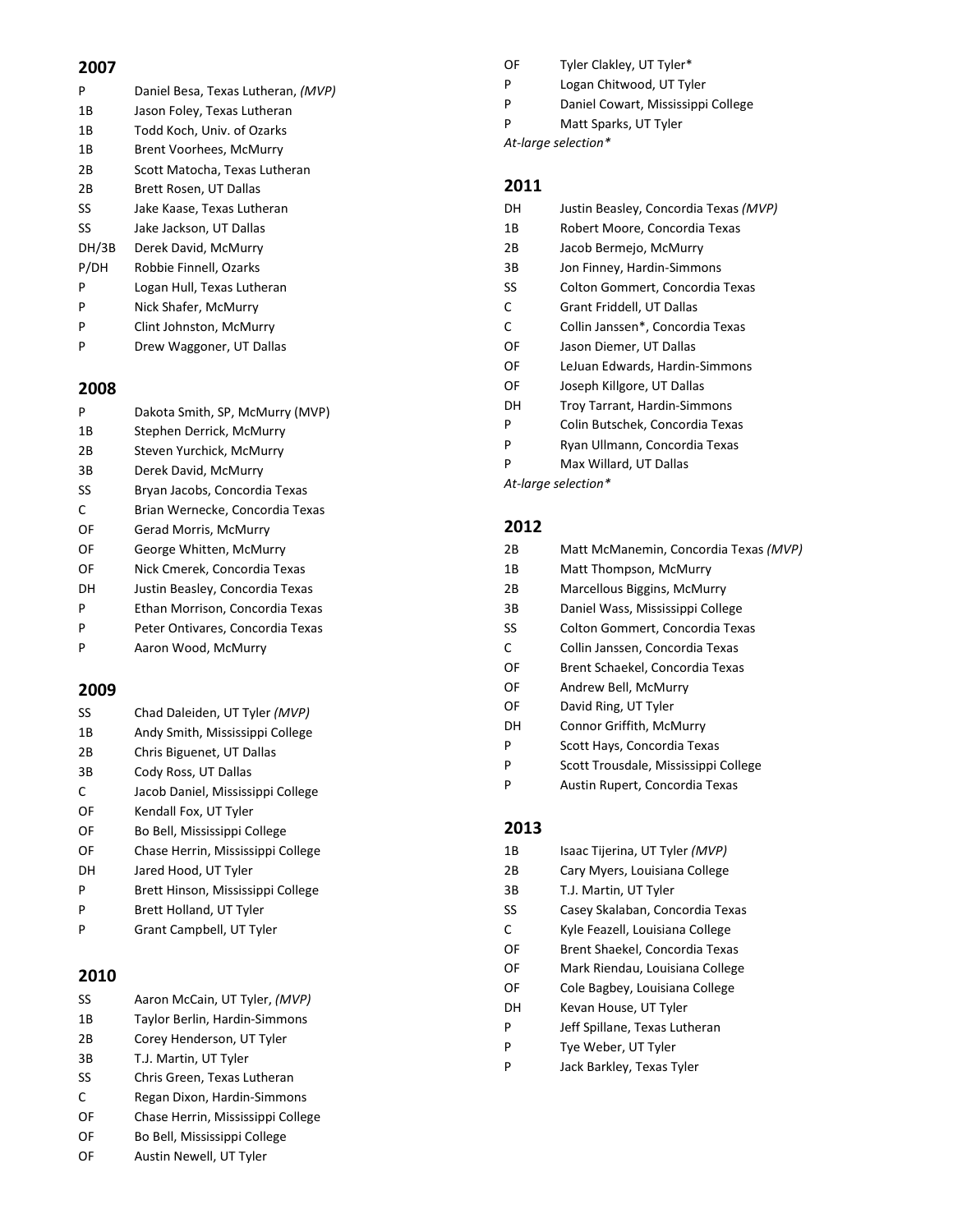| P     | Daniel Besa, Texas Lutheran, (MVP) |
|-------|------------------------------------|
| 1В    | Jason Foley, Texas Lutheran        |
| 1B    | Todd Koch, Univ. of Ozarks         |
| 1В    | Brent Voorhees, McMurry            |
| 2Β    | Scott Matocha, Texas Lutheran      |
| 2Β    | Brett Rosen, UT Dallas             |
| SS    | Jake Kaase, Texas Lutheran         |
| SS    | Jake Jackson, UT Dallas            |
| DH/3B | Derek David, McMurry               |
| P/DH  | Robbie Finnell, Ozarks             |
| P     | Logan Hull, Texas Lutheran         |
| P     | Nick Shafer, McMurry               |
| P     | Clint Johnston, McMurry            |

P Drew Waggoner, UT Dallas

#### **2008**

| P  | Dakota Smith, SP, McMurry (MVP)  |
|----|----------------------------------|
| 1Β | Stephen Derrick, McMurry         |
| 2Β | Steven Yurchick, McMurry         |
| 3B | Derek David, McMurry             |
| SS | Bryan Jacobs, Concordia Texas    |
| C  | Brian Wernecke, Concordia Texas  |
| OF | Gerad Morris, McMurry            |
| OF | George Whitten, McMurry          |
| OF | Nick Cmerek, Concordia Texas     |
| DН | Justin Beasley, Concordia Texas  |
| P  | Ethan Morrison, Concordia Texas  |
| P  | Peter Ontivares, Concordia Texas |
|    | Aaron Wood, McMurry              |

#### **2009**

| SS  | Chad Daleiden, UT Tyler (MVP)     |
|-----|-----------------------------------|
| 1 B | Andy Smith, Mississippi College   |
| 2B  | Chris Biguenet, UT Dallas         |
| 3B  | Cody Ross, UT Dallas              |
| C   | Jacob Daniel, Mississippi College |
| OF  | Kendall Fox, UT Tyler             |
| OF  | Bo Bell, Mississippi College      |
| ΩF  | Chase Herrin, Mississippi College |
| DН  | Jared Hood, UT Tyler              |
| P   | Brett Hinson, Mississippi College |
| P   | Brett Holland, UT Tyler           |

P Grant Campbell, UT Tyler

#### **2010**

| SS | Aaron McCain, UT Tyler, (MVP) |  |  |
|----|-------------------------------|--|--|
|    |                               |  |  |

- 1B Taylor Berlin, Hardin-Simmons 2B Corey Henderson, UT Tyler
- 3B T.J. Martin, UT Tyler
- SS Chris Green, Texas Lutheran
- C Regan Dixon, Hardin-Simmons
- OF Chase Herrin, Mississippi College
- OF Bo Bell, Mississippi College
- OF Austin Newell, UT Tyler
- OF Tyler Clakley, UT Tyler\*
- P Logan Chitwood, UT Tyler
- P Daniel Cowart, Mississippi College
- P Matt Sparks, UT Tyler
- *At-large selection\**

#### **2011**

| DН | Justin Beasley, Concordia Texas (MVP) |
|----|---------------------------------------|
| 1B | Robert Moore, Concordia Texas         |
| 2B | Jacob Bermejo, McMurry                |
| 3B | Jon Finney, Hardin-Simmons            |
| SS | Colton Gommert, Concordia Texas       |
| C  | Grant Friddell, UT Dallas             |
| C  | Collin Janssen*, Concordia Texas      |
| OF | Jason Diemer, UT Dallas               |
| OF | LeJuan Edwards, Hardin-Simmons        |
| OF | Joseph Killgore, UT Dallas            |
| DН | Troy Tarrant, Hardin-Simmons          |
| P  | Colin Butschek, Concordia Texas       |
|    |                                       |

- P Ryan Ullmann, Concordia Texas
- P Max Willard, UT Dallas

*At-large selection\**

#### **2012**

| 2B | Matt McManemin, Concordia Texas (MVP) |
|----|---------------------------------------|
| 1B | Matt Thompson, McMurry                |
| 2B | Marcellous Biggins, McMurry           |
| 3B | Daniel Wass, Mississippi College      |
| SS | Colton Gommert, Concordia Texas       |
| C  | Collin Janssen, Concordia Texas       |
| OF | Brent Schaekel, Concordia Texas       |
| OF | Andrew Bell, McMurry                  |
| OF | David Ring, UT Tyler                  |
| DH | Connor Griffith, McMurry              |
| P  | Scott Hays, Concordia Texas           |
| P  | Scott Trousdale, Mississippi College  |
| P  | Austin Rupert, Concordia Texas        |

#### **2013**

| 1B | Isaac Tijerina, UT Tyler (MVP)  |
|----|---------------------------------|
| 2Β | Cary Myers, Louisiana College   |
| 3B | T.J. Martin, UT Tyler           |
| SS | Casey Skalaban, Concordia Texas |
| C  | Kyle Feazell, Louisiana College |
| OF | Brent Shaekel, Concordia Texas  |
| OF | Mark Riendau, Louisiana College |
| OF | Cole Bagbey, Louisiana College  |
| DH | Kevan House, UT Tyler           |
| P  | Jeff Spillane, Texas Lutheran   |
| P  | Tye Weber, UT Tyler             |
| P  | Jack Barkley, Texas Tyler       |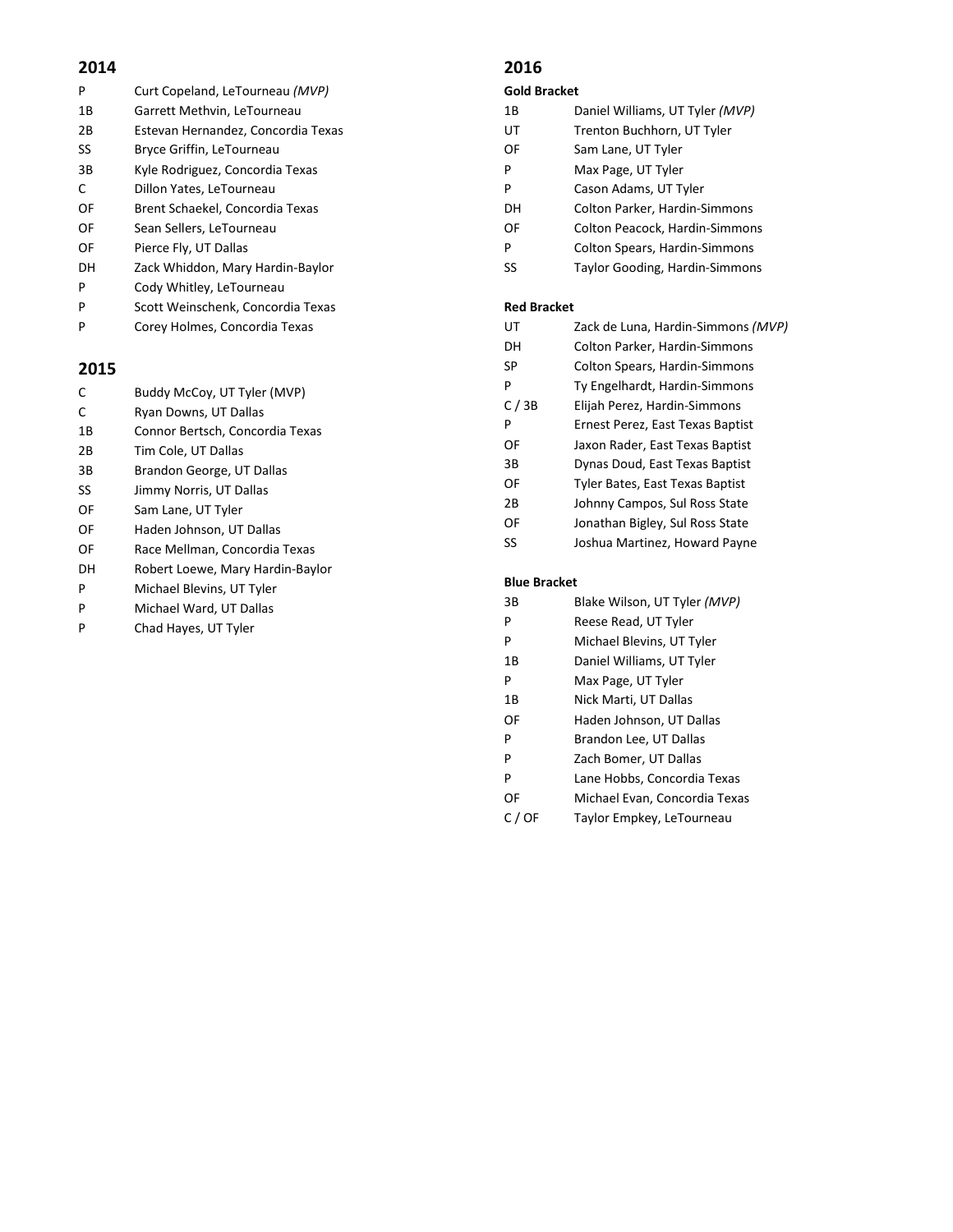| P  | Curt Copeland, LeTourneau (MVP)    |
|----|------------------------------------|
| 1B | Garrett Methvin, LeTourneau        |
| 2B | Estevan Hernandez, Concordia Texas |
| SS | Bryce Griffin, LeTourneau          |
| 3B | Kyle Rodriguez, Concordia Texas    |
| C  | Dillon Yates, LeTourneau           |
| OF | Brent Schaekel, Concordia Texas    |
| OF | Sean Sellers, LeTourneau           |
| OF | Pierce Fly, UT Dallas              |
| DH | Zack Whiddon, Mary Hardin-Baylor   |
| P  | Cody Whitley, LeTourneau           |
| P  | Scott Weinschenk, Concordia Texas  |

P Corey Holmes, Concordia Texas

#### **2015**

| Buddy McCoy, UT Tyler (MVP)<br>C |  |  |
|----------------------------------|--|--|
|----------------------------------|--|--|

- C Ryan Downs, UT Dallas
- 1B Connor Bertsch, Concordia Texas
- 2B Tim Cole, UT Dallas
- 3B Brandon George, UT Dallas
- SS Jimmy Norris, UT Dallas
- OF Sam Lane, UT Tyler
- OF Haden Johnson, UT Dallas
- OF Race Mellman, Concordia Texas
- DH Robert Loewe, Mary Hardin-Baylor
- P Michael Blevins, UT Tyler
- P Michael Ward, UT Dallas
- P Chad Hayes, UT Tyler

#### **2016**

#### **Gold Bracket**

- 1B Daniel Williams, UT Tyler *(MVP)* UT Trenton Buchhorn, UT Tyler
- OF Sam Lane, UT Tyler
- P Max Page, UT Tyler
- P Cason Adams, UT Tyler
- DH Colton Parker, Hardin-Simmons
- OF Colton Peacock, Hardin-Simmons
- P Colton Spears, Hardin-Simmons
- SS Taylor Gooding, Hardin-Simmons

#### **Red Bracket**

| UT   | Zack de Luna, Hardin-Simmons (MVP)   |
|------|--------------------------------------|
| DН   | Colton Parker, Hardin-Simmons        |
| SP   | <b>Colton Spears, Hardin-Simmons</b> |
| P    | Ty Engelhardt, Hardin-Simmons        |
| C/3B | Elijah Perez, Hardin-Simmons         |
| P    | Ernest Perez, East Texas Baptist     |
| OF   | Jaxon Rader, East Texas Baptist      |
| 3B   | Dynas Doud, East Texas Baptist       |
| OF   | Tyler Bates, East Texas Baptist      |
| 2Β   | Johnny Campos, Sul Ross State        |
| OF   | Jonathan Bigley, Sul Ross State      |
| SS   | Joshua Martinez, Howard Payne        |
|      |                                      |

#### **Blue Bracket**

| 3B | Blake Wilson, UT Tyler (MVP)  |
|----|-------------------------------|
| P  | Reese Read, UT Tyler          |
| P  | Michael Blevins, UT Tyler     |
| 1B | Daniel Williams, UT Tyler     |
| P  | Max Page, UT Tyler            |
| 1B | Nick Marti, UT Dallas         |
| OF | Haden Johnson, UT Dallas      |
| P  | Brandon Lee, UT Dallas        |
| P  | Zach Bomer, UT Dallas         |
| P  | Lane Hobbs, Concordia Texas   |
| OF | Michael Evan, Concordia Texas |
| OF | Taylor Empkey, LeTourneau     |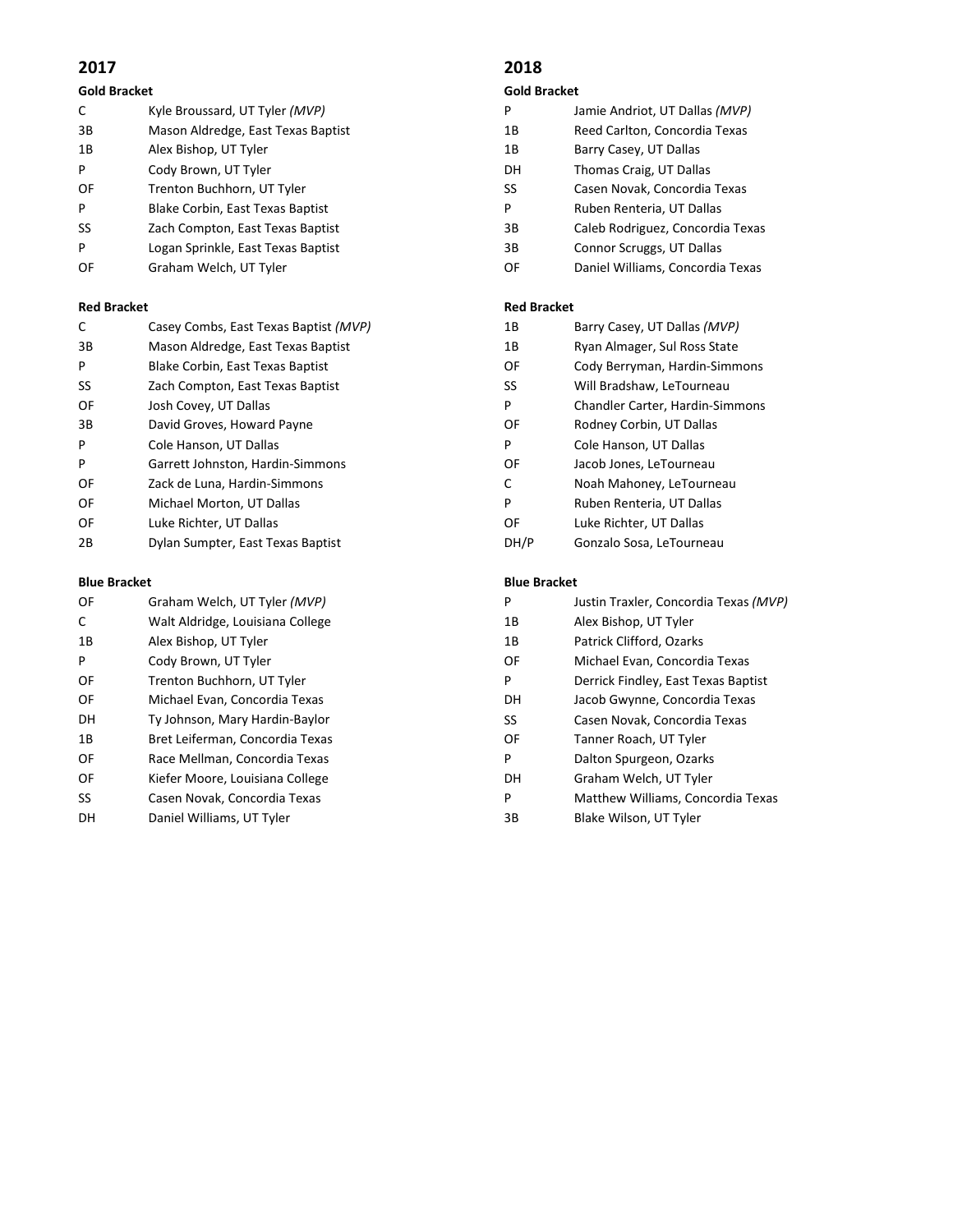#### **Gold Bracket**

| C  | Kyle Broussard, UT Tyler (MVP)     |
|----|------------------------------------|
| 3B | Mason Aldredge, East Texas Baptist |
| 1B | Alex Bishop, UT Tyler              |
| P  | Cody Brown, UT Tyler               |
| OF | Trenton Buchhorn, UT Tyler         |
| P  | Blake Corbin, East Texas Baptist   |
| SS | Zach Compton, East Texas Baptist   |
| P  | Logan Sprinkle, East Texas Baptist |
| OF | Graham Welch, UT Tyler             |

#### **Red Bracket**

| C  | Casey Combs, East Texas Baptist (MVP) |
|----|---------------------------------------|
| 3B | Mason Aldredge, East Texas Baptist    |
| P  | Blake Corbin, East Texas Baptist      |
| SS | Zach Compton, East Texas Baptist      |
| OF | Josh Covey, UT Dallas                 |
| 3B | David Groves, Howard Payne            |
| P  | Cole Hanson, UT Dallas                |
| P  | Garrett Johnston, Hardin-Simmons      |
| OF | Zack de Luna, Hardin-Simmons          |
| OF | Michael Morton, UT Dallas             |
| OF | Luke Richter, UT Dallas               |
| 2B | Dylan Sumpter, East Texas Baptist     |

#### **Blue Bracket**

| OF  | Graham Welch, UT Tyler (MVP)     |
|-----|----------------------------------|
| C   | Walt Aldridge, Louisiana College |
| 1 B | Alex Bishop, UT Tyler            |
| P   | Cody Brown, UT Tyler             |
| OF  | Trenton Buchhorn, UT Tyler       |
| OF  | Michael Evan, Concordia Texas    |
| DН  | Ty Johnson, Mary Hardin-Baylor   |
| 1 B | Bret Leiferman, Concordia Texas  |
| OF  | Race Mellman, Concordia Texas    |
| OF  | Kiefer Moore, Louisiana College  |
| SS  | Casen Novak, Concordia Texas     |
| DН  | Daniel Williams, UT Tyler        |
|     |                                  |

### **2018**

#### **Gold Bracket**

- P Jamie Andriot, UT Dallas *(MVP)*
- 1B Reed Carlton, Concordia Texas
- 1B Barry Casey, UT Dallas
- DH Thomas Craig, UT Dallas
- SS Casen Novak, Concordia Texas
- P Ruben Renteria, UT Dallas
- 3B Caleb Rodriguez, Concordia Texas
- 3B Connor Scruggs, UT Dallas
- OF Daniel Williams, Concordia Texas

#### **Red Bracket**

| 1B           | Barry Casey, UT Dallas (MVP)    |  |
|--------------|---------------------------------|--|
| 1Β           | Ryan Almager, Sul Ross State    |  |
| OF           | Cody Berryman, Hardin-Simmons   |  |
| SS           | Will Bradshaw, LeTourneau       |  |
| P            | Chandler Carter, Hardin-Simmons |  |
| OF           | Rodney Corbin, UT Dallas        |  |
| P            | Cole Hanson, UT Dallas          |  |
| OF           | Jacob Jones, LeTourneau         |  |
| $\mathsf{C}$ | Noah Mahoney, LeTourneau        |  |
| P            | Ruben Renteria, UT Dallas       |  |
| OF           | Luke Richter, UT Dallas         |  |
|              | Gonzalo Sosa, LeTourneau        |  |

#### **Blue Bracket**

| P  | Justin Traxler, Concordia Texas (MVP) |
|----|---------------------------------------|
| 1Β | Alex Bishop, UT Tyler                 |
| 1Β | Patrick Clifford, Ozarks              |
| OF | Michael Evan, Concordia Texas         |
| P  | Derrick Findley, East Texas Baptist   |
| DН | Jacob Gwynne, Concordia Texas         |
| SS | Casen Novak, Concordia Texas          |
| OF | Tanner Roach, UT Tyler                |
| P  | Dalton Spurgeon, Ozarks               |
| DН | Graham Welch, UT Tyler                |
| P  | Matthew Williams, Concordia Texas     |
| зв | Blake Wilson, UT Tyler                |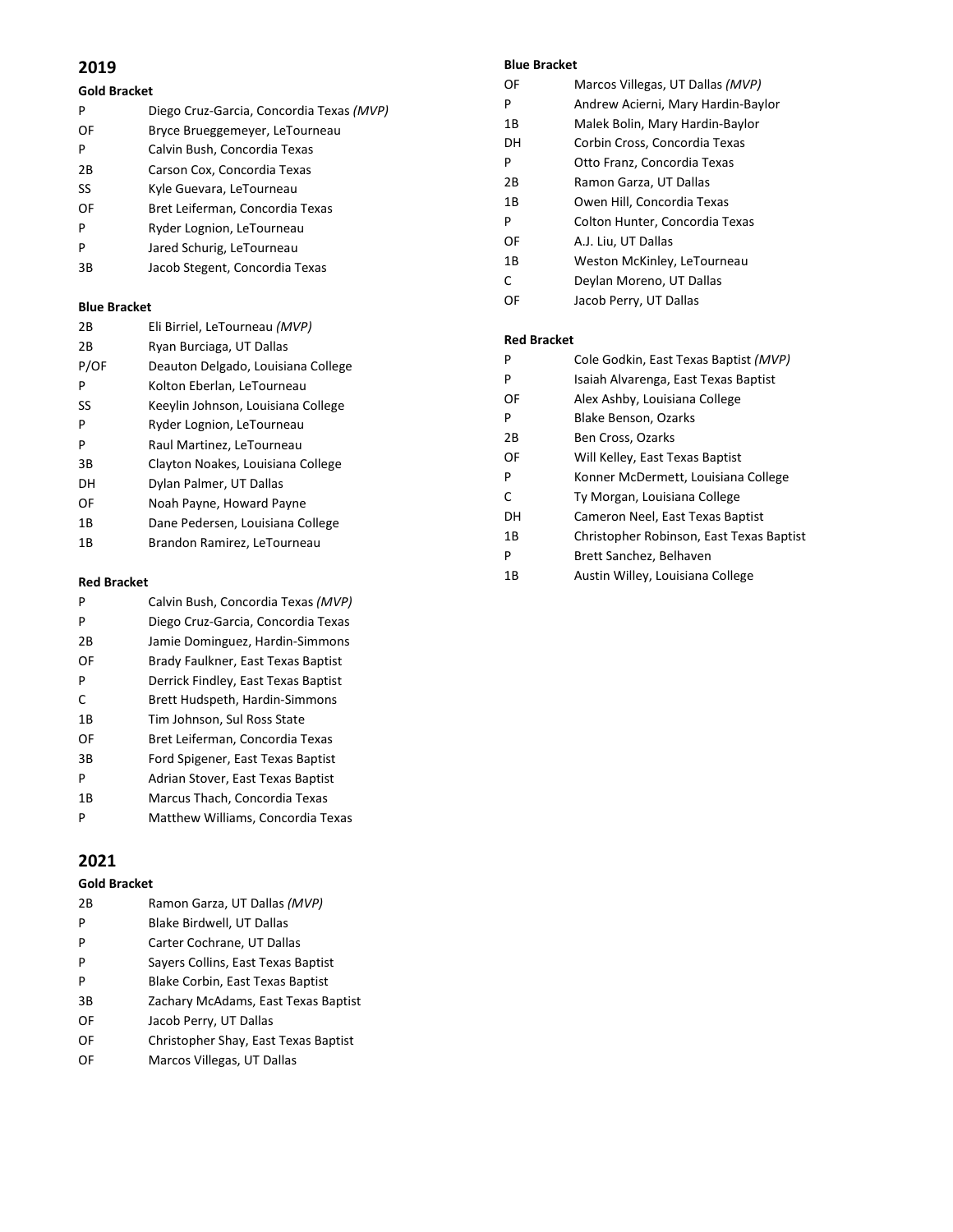#### **Gold Bracket**

| P  | Diego Cruz-Garcia, Concordia Texas (MVP) |
|----|------------------------------------------|
| OF | Bryce Brueggemeyer, LeTourneau           |
| P  | Calvin Bush, Concordia Texas             |
| 2Β | Carson Cox, Concordia Texas              |
| SS | Kyle Guevara, LeTourneau                 |
| OF | Bret Leiferman, Concordia Texas          |
| P  | Ryder Lognion, LeTourneau                |
| P  | Jared Schurig, LeTourneau                |
| 3B | Jacob Stegent, Concordia Texas           |
|    |                                          |

#### **Blue Bracket**

| 2Β   | Eli Birriel, LeTourneau (MVP)      |
|------|------------------------------------|
| 2Β   | Ryan Burciaga, UT Dallas           |
| P/OF | Deauton Delgado, Louisiana College |
| P    | Kolton Eberlan, LeTourneau         |
| SS   | Keeylin Johnson, Louisiana College |
| P    | Ryder Lognion, LeTourneau          |
| P    | Raul Martinez, LeTourneau          |
| 3B   | Clayton Noakes, Louisiana College  |
| DН   | Dylan Palmer, UT Dallas            |
| OF   | Noah Payne, Howard Payne           |
| 1B   | Dane Pedersen, Louisiana College   |
| 1Β   | Brandon Ramirez, LeTourneau        |

#### **Red Bracket**

| P  | Calvin Bush, Concordia Texas (MVP)  |
|----|-------------------------------------|
| P  | Diego Cruz-Garcia, Concordia Texas  |
| 2Β | Jamie Dominguez, Hardin-Simmons     |
| OF | Brady Faulkner, East Texas Baptist  |
| P  | Derrick Findley, East Texas Baptist |
| C  | Brett Hudspeth, Hardin-Simmons      |
| 1B | Tim Johnson, Sul Ross State         |
| OF | Bret Leiferman, Concordia Texas     |
| 3B | Ford Spigener, East Texas Baptist   |
| P  | Adrian Stover, East Texas Baptist   |
| 1B | Marcus Thach, Concordia Texas       |
| P  | Matthew Williams, Concordia Texas   |

#### **2021**

#### **Gold Bracket**

| 2B | Ramon Garza, UT Dallas (MVP)         |
|----|--------------------------------------|
| P  | Blake Birdwell, UT Dallas            |
| P  | Carter Cochrane, UT Dallas           |
| P  | Sayers Collins, East Texas Baptist   |
| P  | Blake Corbin, East Texas Baptist     |
| 3B | Zachary McAdams, East Texas Baptist  |
| OF | Jacob Perry, UT Dallas               |
| OF | Christopher Shay, East Texas Baptist |
| OF | Marcos Villegas, UT Dallas           |

#### **Blue Bracket**

| DIUE DIALNEL       |                                       |  |
|--------------------|---------------------------------------|--|
| OF                 | Marcos Villegas, UT Dallas (MVP)      |  |
| P                  | Andrew Acierni, Mary Hardin-Baylor    |  |
| 1В                 | Malek Bolin, Mary Hardin-Baylor       |  |
| DН                 | Corbin Cross, Concordia Texas         |  |
| P                  | Otto Franz, Concordia Texas           |  |
| 2В                 | Ramon Garza, UT Dallas                |  |
| 1В                 | Owen Hill, Concordia Texas            |  |
| P                  | Colton Hunter, Concordia Texas        |  |
| OF                 | A.J. Liu, UT Dallas                   |  |
| 1В                 | Weston McKinley, LeTourneau           |  |
| C                  | Deylan Moreno, UT Dallas              |  |
| OF                 | Jacob Perry, UT Dallas                |  |
|                    |                                       |  |
| <b>Red Bracket</b> |                                       |  |
| P                  | Cole Godkin, East Texas Baptist (MVP) |  |
| P                  | Isaiah Alvarenga, East Texas Baptist  |  |
| OF                 | Alex Ashby, Louisiana College         |  |

- P Blake Benson, Ozarks 2B Ben Cross, Ozarks OF Will Kelley, East Texas Baptist
- P Konner McDermett, Louisiana College
- C Ty Morgan, Louisiana College
- DH Cameron Neel, East Texas Baptist
- 1B Christopher Robinson, East Texas Baptist
- P Brett Sanchez, Belhaven
- 1B Austin Willey, Louisiana College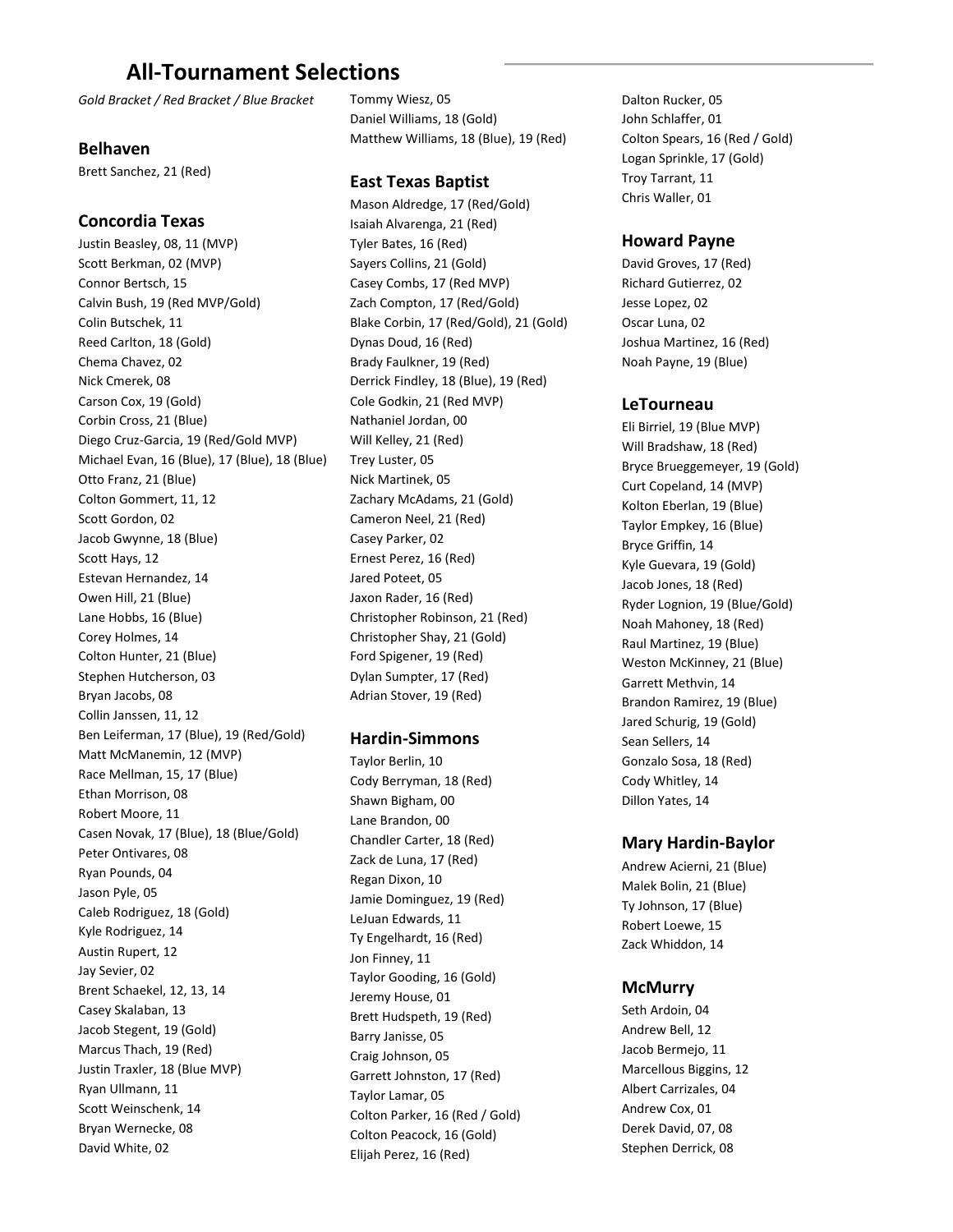## **All-Tournament Selections**

*Gold Bracket / Red Bracket / Blue Bracket*

#### **Belhaven**

Brett Sanchez, 21 (Red)

#### **Concordia Texas**

Justin Beasley, 08, 11 (MVP) Scott Berkman, 02 (MVP) Connor Bertsch, 15 Calvin Bush, 19 (Red MVP/Gold) Colin Butschek, 11 Reed Carlton, 18 (Gold) Chema Chavez, 02 Nick Cmerek, 08 Carson Cox, 19 (Gold) Corbin Cross, 21 (Blue) Diego Cruz-Garcia, 19 (Red/Gold MVP) Michael Evan, 16 (Blue), 17 (Blue), 18 (Blue) Otto Franz, 21 (Blue) Colton Gommert, 11, 12 Scott Gordon, 02 Jacob Gwynne, 18 (Blue) Scott Hays, 12 Estevan Hernandez, 14 Owen Hill, 21 (Blue) Lane Hobbs, 16 (Blue) Corey Holmes, 14 Colton Hunter, 21 (Blue) Stephen Hutcherson, 03 Bryan Jacobs, 08 Collin Janssen, 11, 12 Ben Leiferman, 17 (Blue), 19 (Red/Gold) Matt McManemin, 12 (MVP) Race Mellman, 15, 17 (Blue) Ethan Morrison, 08 Robert Moore, 11 Casen Novak, 17 (Blue), 18 (Blue/Gold) Peter Ontivares, 08 Ryan Pounds, 04 Jason Pyle, 05 Caleb Rodriguez, 18 (Gold) Kyle Rodriguez, 14 Austin Rupert, 12 Jay Sevier, 02 Brent Schaekel, 12, 13, 14 Casey Skalaban, 13 Jacob Stegent, 19 (Gold) Marcus Thach, 19 (Red) Justin Traxler, 18 (Blue MVP) Ryan Ullmann, 11 Scott Weinschenk, 14 Bryan Wernecke, 08 David White, 02

Tommy Wiesz, 05 Daniel Williams, 18 (Gold) Matthew Williams, 18 (Blue), 19 (Red)

#### **East Texas Baptist**

Mason Aldredge, 17 (Red/Gold) Isaiah Alvarenga, 21 (Red) Tyler Bates, 16 (Red) Sayers Collins, 21 (Gold) Casey Combs, 17 (Red MVP) Zach Compton, 17 (Red/Gold) Blake Corbin, 17 (Red/Gold), 21 (Gold) Dynas Doud, 16 (Red) Brady Faulkner, 19 (Red) Derrick Findley, 18 (Blue), 19 (Red) Cole Godkin, 21 (Red MVP) Nathaniel Jordan, 00 Will Kelley, 21 (Red) Trey Luster, 05 Nick Martinek, 05 Zachary McAdams, 21 (Gold) Cameron Neel, 21 (Red) Casey Parker, 02 Ernest Perez, 16 (Red) Jared Poteet, 05 Jaxon Rader, 16 (Red) Christopher Robinson, 21 (Red) Christopher Shay, 21 (Gold) Ford Spigener, 19 (Red) Dylan Sumpter, 17 (Red) Adrian Stover, 19 (Red)

#### **Hardin-Simmons**

Taylor Berlin, 10 Cody Berryman, 18 (Red) Shawn Bigham, 00 Lane Brandon, 00 Chandler Carter, 18 (Red) Zack de Luna, 17 (Red) Regan Dixon, 10 Jamie Dominguez, 19 (Red) LeJuan Edwards, 11 Ty Engelhardt, 16 (Red) Jon Finney, 11 Taylor Gooding, 16 (Gold) Jeremy House, 01 Brett Hudspeth, 19 (Red) Barry Janisse, 05 Craig Johnson, 05 Garrett Johnston, 17 (Red) Taylor Lamar, 05 Colton Parker, 16 (Red / Gold) Colton Peacock, 16 (Gold) Elijah Perez, 16 (Red)

Dalton Rucker, 05 John Schlaffer, 01 Colton Spears, 16 (Red / Gold) Logan Sprinkle, 17 (Gold) Troy Tarrant, 11 Chris Waller, 01

#### **Howard Payne**

David Groves, 17 (Red) Richard Gutierrez, 02 Jesse Lopez, 02 Oscar Luna, 02 Joshua Martinez, 16 (Red) Noah Payne, 19 (Blue)

#### **LeTourneau**

Eli Birriel, 19 (Blue MVP) Will Bradshaw, 18 (Red) Bryce Brueggemeyer, 19 (Gold) Curt Copeland, 14 (MVP) Kolton Eberlan, 19 (Blue) Taylor Empkey, 16 (Blue) Bryce Griffin, 14 Kyle Guevara, 19 (Gold) Jacob Jones, 18 (Red) Ryder Lognion, 19 (Blue/Gold) Noah Mahoney, 18 (Red) Raul Martinez, 19 (Blue) Weston McKinney, 21 (Blue) Garrett Methvin, 14 Brandon Ramirez, 19 (Blue) Jared Schurig, 19 (Gold) Sean Sellers, 14 Gonzalo Sosa, 18 (Red) Cody Whitley, 14 Dillon Yates, 14

#### **Mary Hardin-Baylor**

Andrew Acierni, 21 (Blue) Malek Bolin, 21 (Blue) Ty Johnson, 17 (Blue) Robert Loewe, 15 Zack Whiddon, 14

#### **McMurry**

Seth Ardoin, 04 Andrew Bell, 12 Jacob Bermejo, 11 Marcellous Biggins, 12 Albert Carrizales, 04 Andrew Cox, 01 Derek David, 07, 08 Stephen Derrick, 08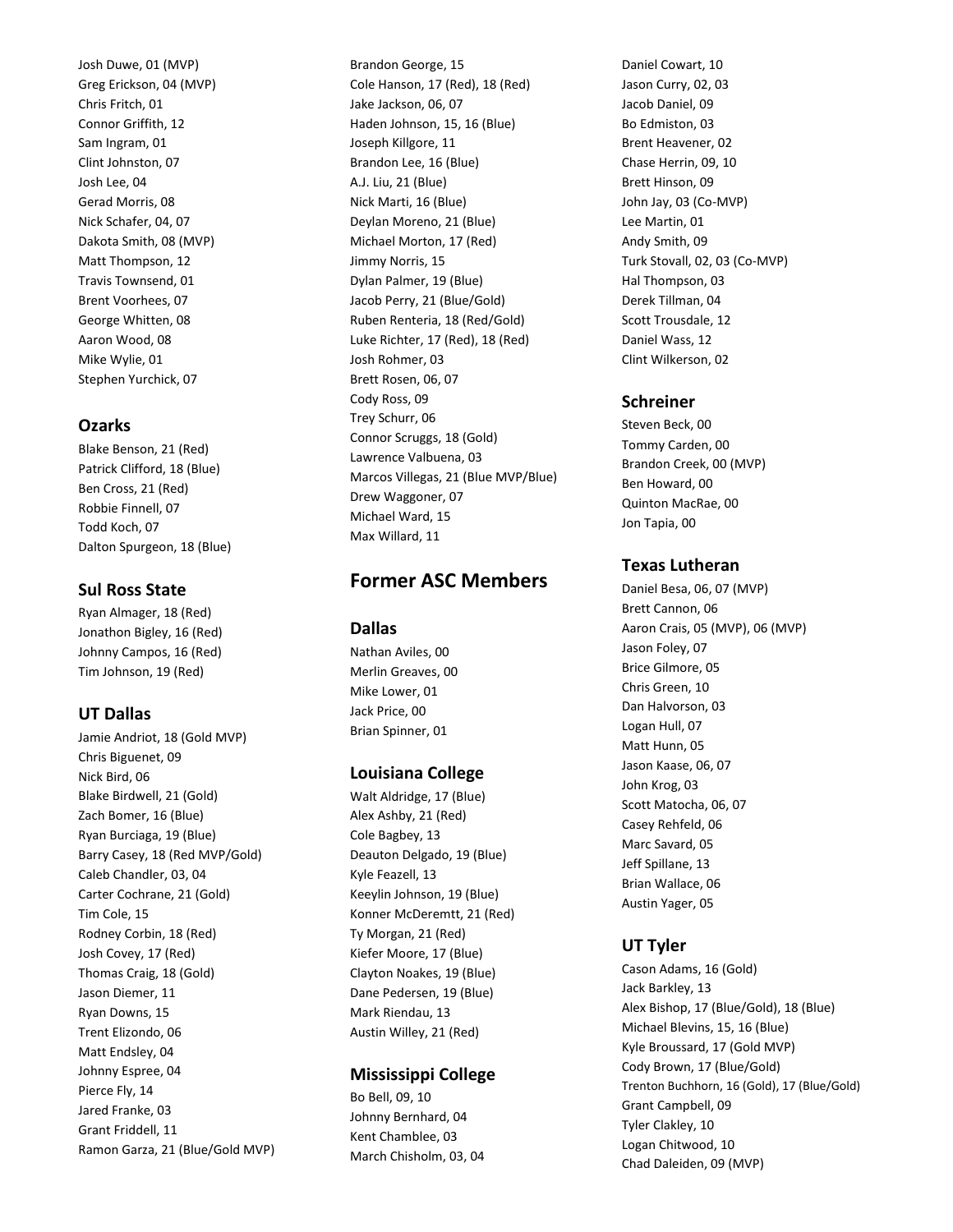Josh Duwe, 01 (MVP) Greg Erickson, 04 (MVP) Chris Fritch, 01 Connor Griffith, 12 Sam Ingram, 01 Clint Johnston, 07 Josh Lee, 04 Gerad Morris, 08 Nick Schafer, 04, 07 Dakota Smith, 08 (MVP) Matt Thompson, 12 Travis Townsend, 01 Brent Voorhees, 07 George Whitten, 08 Aaron Wood, 08 Mike Wylie, 01 Stephen Yurchick, 07

#### **Ozarks**

Blake Benson, 21 (Red) Patrick Clifford, 18 (Blue) Ben Cross, 21 (Red) Robbie Finnell, 07 Todd Koch, 07 Dalton Spurgeon, 18 (Blue)

#### **Sul Ross State**

Ryan Almager, 18 (Red) Jonathon Bigley, 16 (Red) Johnny Campos, 16 (Red) Tim Johnson, 19 (Red)

#### **UT Dallas**

Jamie Andriot, 18 (Gold MVP) Chris Biguenet, 09 Nick Bird, 06 Blake Birdwell, 21 (Gold) Zach Bomer, 16 (Blue) Ryan Burciaga, 19 (Blue) Barry Casey, 18 (Red MVP/Gold) Caleb Chandler, 03, 04 Carter Cochrane, 21 (Gold) Tim Cole, 15 Rodney Corbin, 18 (Red) Josh Covey, 17 (Red) Thomas Craig, 18 (Gold) Jason Diemer, 11 Ryan Downs, 15 Trent Elizondo, 06 Matt Endsley, 04 Johnny Espree, 04 Pierce Fly, 14 Jared Franke, 03 Grant Friddell, 11 Ramon Garza, 21 (Blue/Gold MVP) Brandon George, 15 Cole Hanson, 17 (Red), 18 (Red) Jake Jackson, 06, 07 Haden Johnson, 15, 16 (Blue) Joseph Killgore, 11 Brandon Lee, 16 (Blue) A.J. Liu, 21 (Blue) Nick Marti, 16 (Blue) Deylan Moreno, 21 (Blue) Michael Morton, 17 (Red) Jimmy Norris, 15 Dylan Palmer, 19 (Blue) Jacob Perry, 21 (Blue/Gold) Ruben Renteria, 18 (Red/Gold) Luke Richter, 17 (Red), 18 (Red) Josh Rohmer, 03 Brett Rosen, 06, 07 Cody Ross, 09 Trey Schurr, 06 Connor Scruggs, 18 (Gold) Lawrence Valbuena, 03 Marcos Villegas, 21 (Blue MVP/Blue) Drew Waggoner, 07 Michael Ward, 15 Max Willard, 11

### **Former ASC Members**

#### **Dallas**

Nathan Aviles, 00 Merlin Greaves, 00 Mike Lower, 01 Jack Price, 00 Brian Spinner, 01

#### **Louisiana College**

Walt Aldridge, 17 (Blue) Alex Ashby, 21 (Red) Cole Bagbey, 13 Deauton Delgado, 19 (Blue) Kyle Feazell, 13 Keeylin Johnson, 19 (Blue) Konner McDeremtt, 21 (Red) Ty Morgan, 21 (Red) Kiefer Moore, 17 (Blue) Clayton Noakes, 19 (Blue) Dane Pedersen, 19 (Blue) Mark Riendau, 13 Austin Willey, 21 (Red)

#### **Mississippi College**

Bo Bell, 09, 10 Johnny Bernhard, 04 Kent Chamblee, 03 March Chisholm, 03, 04 Daniel Cowart, 10 Jason Curry, 02, 03 Jacob Daniel, 09 Bo Edmiston, 03 Brent Heavener, 02 Chase Herrin, 09, 10 Brett Hinson, 09 John Jay, 03 (Co-MVP) Lee Martin, 01 Andy Smith, 09 Turk Stovall, 02, 03 (Co-MVP) Hal Thompson, 03 Derek Tillman, 04 Scott Trousdale, 12 Daniel Wass, 12 Clint Wilkerson, 02

#### **Schreiner**

Steven Beck, 00 Tommy Carden, 00 Brandon Creek, 00 (MVP) Ben Howard, 00 Quinton MacRae, 00 Jon Tapia, 00

#### **Texas Lutheran**

Daniel Besa, 06, 07 (MVP) Brett Cannon, 06 Aaron Crais, 05 (MVP), 06 (MVP) Jason Foley, 07 Brice Gilmore, 05 Chris Green, 10 Dan Halvorson, 03 Logan Hull, 07 Matt Hunn, 05 Jason Kaase, 06, 07 John Krog, 03 Scott Matocha, 06, 07 Casey Rehfeld, 06 Marc Savard, 05 Jeff Spillane, 13 Brian Wallace, 06 Austin Yager, 05

#### **UT Tyler**

Cason Adams, 16 (Gold) Jack Barkley, 13 Alex Bishop, 17 (Blue/Gold), 18 (Blue) Michael Blevins, 15, 16 (Blue) Kyle Broussard, 17 (Gold MVP) Cody Brown, 17 (Blue/Gold) Trenton Buchhorn, 16 (Gold), 17 (Blue/Gold) Grant Campbell, 09 Tyler Clakley, 10 Logan Chitwood, 10 Chad Daleiden, 09 (MVP)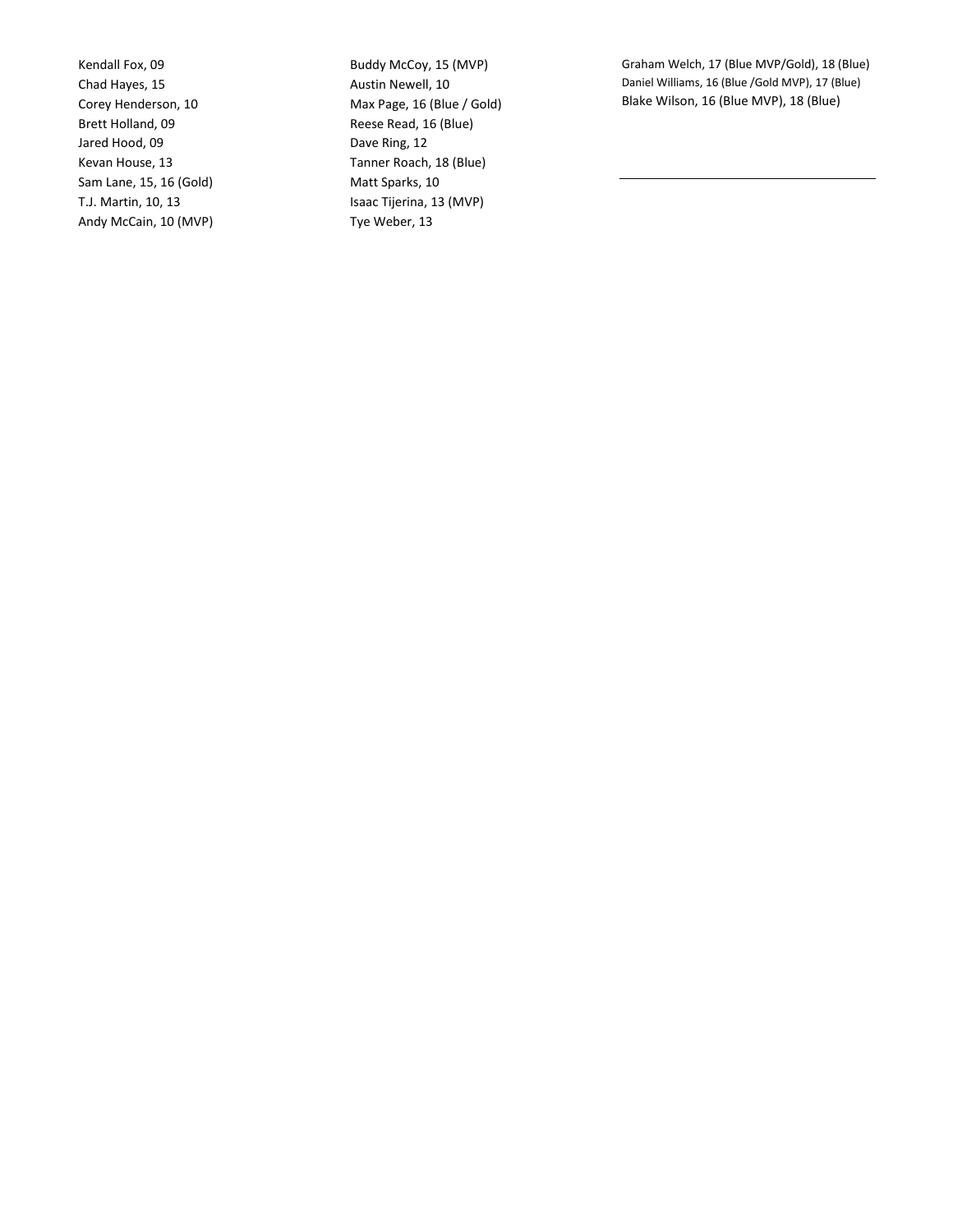Kendall Fox, 09 Chad Hayes, 15 Corey Henderson, 10 Brett Holland, 09 Jared Hood, 09 Kevan House, 13 Sam Lane, 15, 16 (Gold) T.J. Martin, 10, 13 Andy McCain, 10 (MVP)

Buddy McCoy, 15 (MVP) Austin Newell, 10 Max Page, 16 (Blue / Gold) Reese Read, 16 (Blue) Dave Ring, 12 Tanner Roach, 18 (Blue) Matt Sparks, 10 Isaac Tijerina, 13 (MVP) Tye Weber, 13

Graham Welch, 17 (Blue MVP/Gold), 18 (Blue) Daniel Williams, 16 (Blue /Gold MVP), 17 (Blue) Blake Wilson, 16 (Blue MVP), 18 (Blue)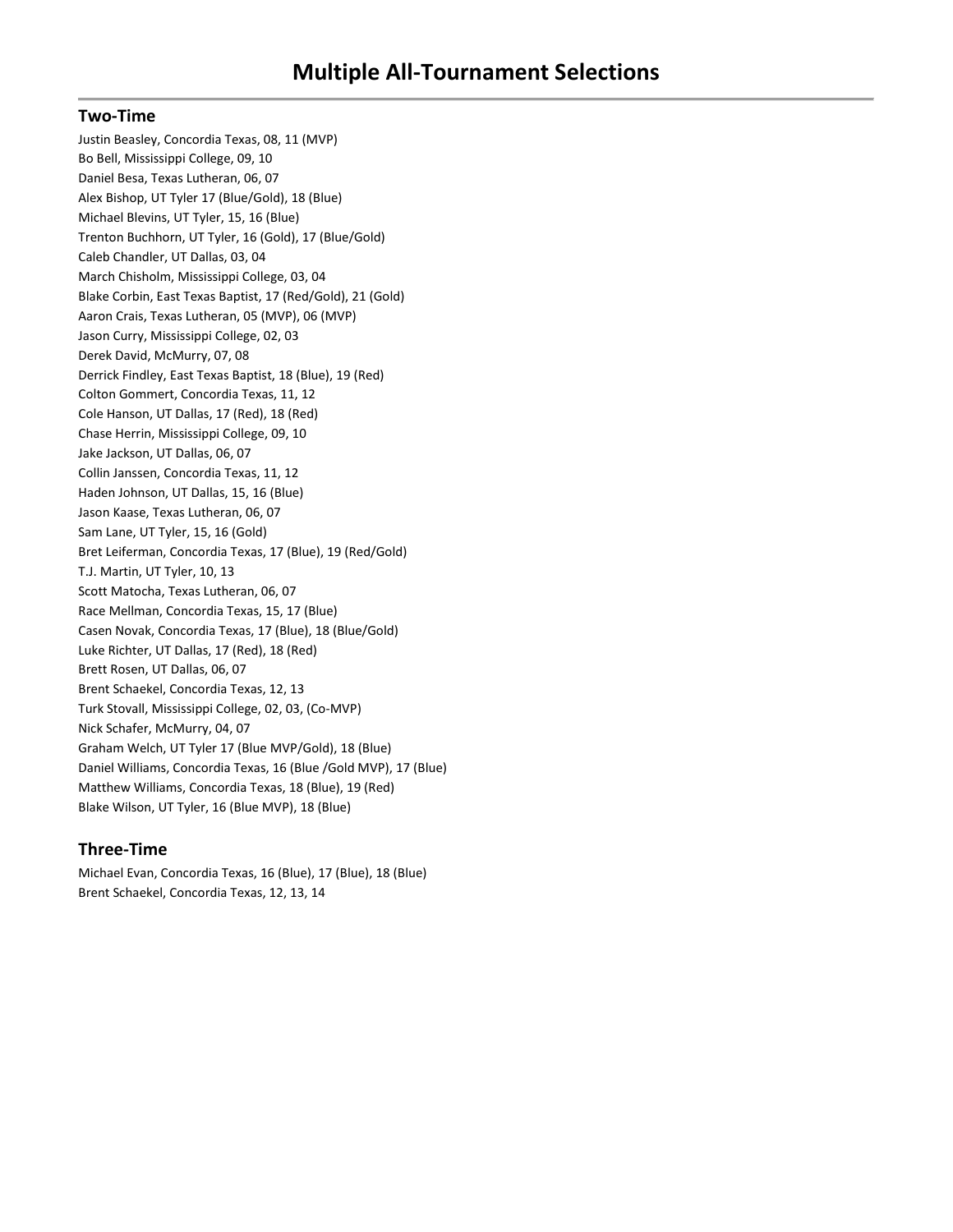#### **Two-Time**

Justin Beasley, Concordia Texas, 08, 11 (MVP) Bo Bell, Mississippi College, 09, 10 Daniel Besa, Texas Lutheran, 06, 07 Alex Bishop, UT Tyler 17 (Blue/Gold), 18 (Blue) Michael Blevins, UT Tyler, 15, 16 (Blue) Trenton Buchhorn, UT Tyler, 16 (Gold), 17 (Blue/Gold) Caleb Chandler, UT Dallas, 03, 04 March Chisholm, Mississippi College, 03, 04 Blake Corbin, East Texas Baptist, 17 (Red/Gold), 21 (Gold) Aaron Crais, Texas Lutheran, 05 (MVP), 06 (MVP) Jason Curry, Mississippi College, 02, 03 Derek David, McMurry, 07, 08 Derrick Findley, East Texas Baptist, 18 (Blue), 19 (Red) Colton Gommert, Concordia Texas, 11, 12 Cole Hanson, UT Dallas, 17 (Red), 18 (Red) Chase Herrin, Mississippi College, 09, 10 Jake Jackson, UT Dallas, 06, 07 Collin Janssen, Concordia Texas, 11, 12 Haden Johnson, UT Dallas, 15, 16 (Blue) Jason Kaase, Texas Lutheran, 06, 07 Sam Lane, UT Tyler, 15, 16 (Gold) Bret Leiferman, Concordia Texas, 17 (Blue), 19 (Red/Gold) T.J. Martin, UT Tyler, 10, 13 Scott Matocha, Texas Lutheran, 06, 07 Race Mellman, Concordia Texas, 15, 17 (Blue) Casen Novak, Concordia Texas, 17 (Blue), 18 (Blue/Gold) Luke Richter, UT Dallas, 17 (Red), 18 (Red) Brett Rosen, UT Dallas, 06, 07 Brent Schaekel, Concordia Texas, 12, 13 Turk Stovall, Mississippi College, 02, 03, (Co-MVP) Nick Schafer, McMurry, 04, 07 Graham Welch, UT Tyler 17 (Blue MVP/Gold), 18 (Blue) Daniel Williams, Concordia Texas, 16 (Blue /Gold MVP), 17 (Blue) Matthew Williams, Concordia Texas, 18 (Blue), 19 (Red) Blake Wilson, UT Tyler, 16 (Blue MVP), 18 (Blue)

#### **Three-Time**

Michael Evan, Concordia Texas, 16 (Blue), 17 (Blue), 18 (Blue) Brent Schaekel, Concordia Texas, 12, 13, 14